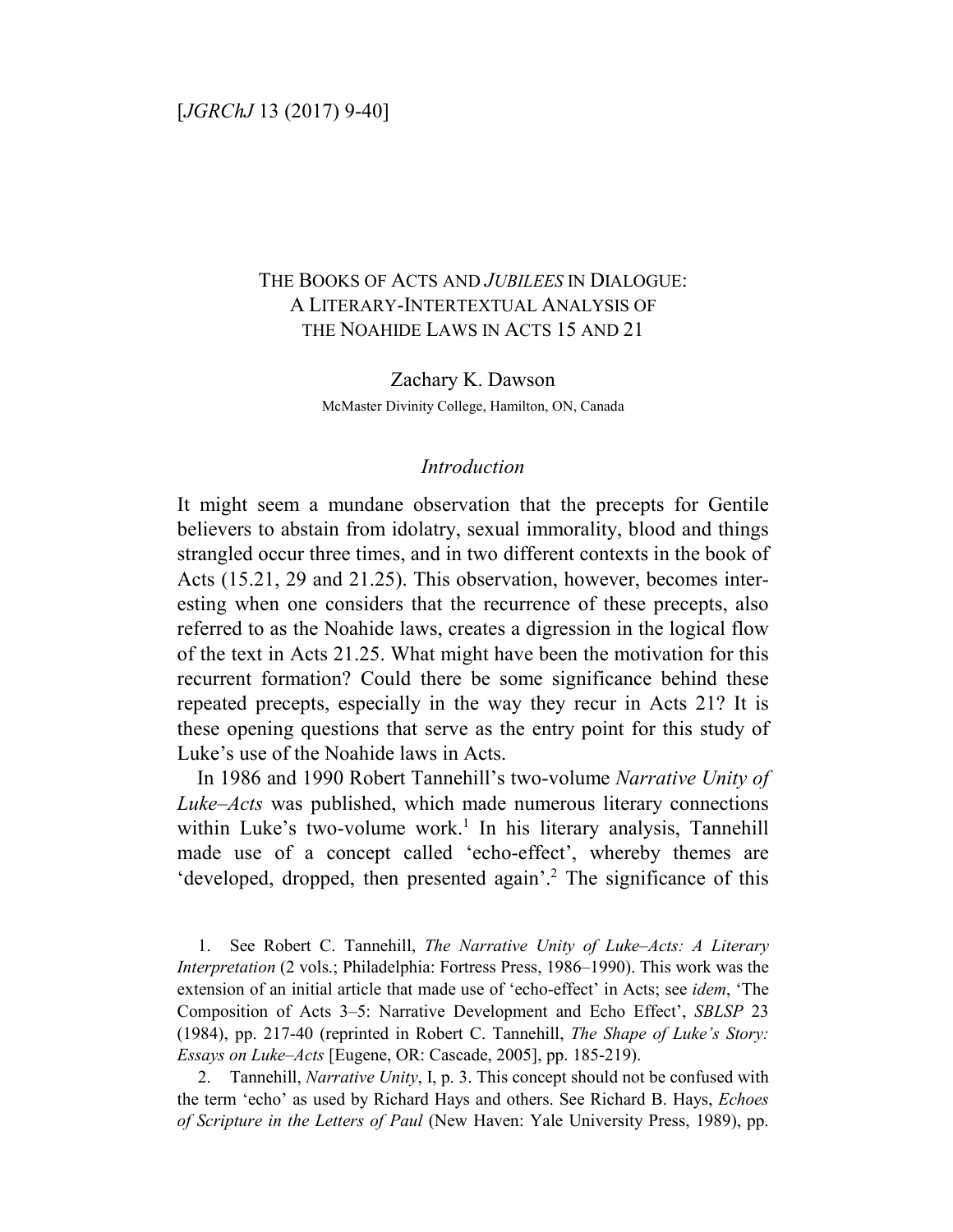# THE BOOKS OF ACTS AND *JUBILEES* IN DIALOGUE: A LITERARY-INTERTEXTUAL ANALYSIS OF THE NOAHIDE LAWS IN ACTS 15 AND 21

Zachary K. Dawson McMaster Divinity College, Hamilton, ON, Canada

# *Introduction*

It might seem a mundane observation that the precepts for Gentile believers to abstain from idolatry, sexual immorality, blood and things strangled occur three times, and in two different contexts in the book of Acts (15.21, 29 and 21.25). This observation, however, becomes interesting when one considers that the recurrence of these precepts, also referred to as the Noahide laws, creates a digression in the logical flow of the text in Acts 21.25. What might have been the motivation for this recurrent formation? Could there be some significance behind these repeated precepts, especially in the way they recur in Acts 21? It is these opening questions that serve as the entry point for this study of Luke's use of the Noahide laws in Acts.

In 1986 and 1990 Robert Tannehill's two-volume *Narrative Unity of Luke–Acts* was published, which made numerous literary connections within Luke's two-volume work.<sup>1</sup> In his literary analysis, Tannehill made use of a concept called 'echo-effect', whereby themes are 'developed, dropped, then presented again'.<sup>2</sup> The significance of this

1. See Robert C. Tannehill, *The Narrative Unity of Luke–Acts: A Literary Interpretation* (2 vols.; Philadelphia: Fortress Press, 1986–1990). This work was the extension of an initial article that made use of 'echo-effect' in Acts; see *idem*, 'The Composition of Acts 3–5: Narrative Development and Echo Effect', *SBLSP* 23 (1984), pp. 217-40 (reprinted in Robert C. Tannehill, *The Shape of Luke's Story: Essays on Luke–Acts* [Eugene, OR: Cascade, 2005], pp. 185-219).

2. Tannehill, *Narrative Unity*, I, p. 3. This concept should not be confused with the term 'echo' as used by Richard Hays and others. See Richard B. Hays, *Echoes of Scripture in the Letters of Paul* (New Haven: Yale University Press, 1989), pp.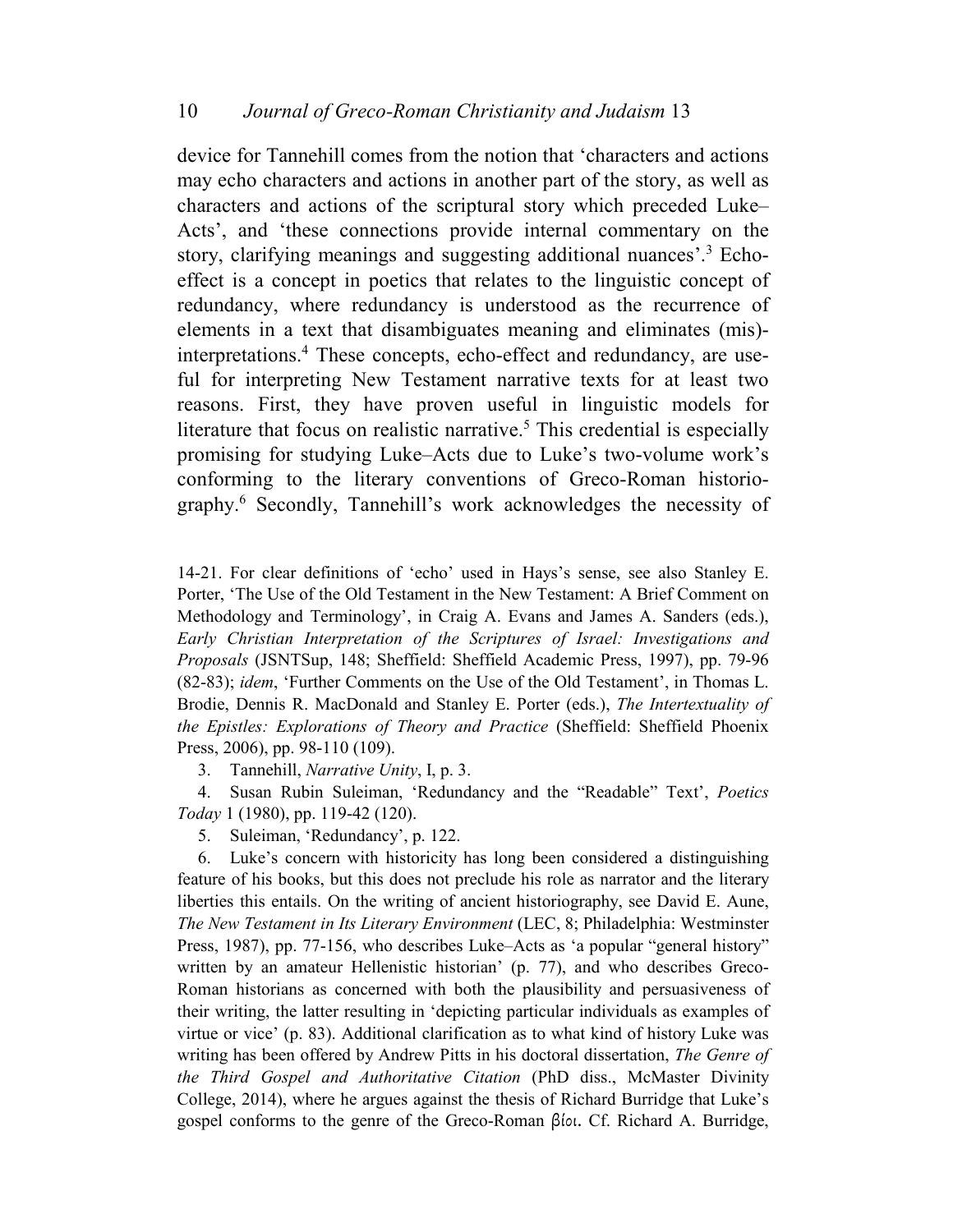device for Tannehill comes from the notion that 'characters and actions may echo characters and actions in another part of the story, as well as characters and actions of the scriptural story which preceded Luke– Acts', and 'these connections provide internal commentary on the story, clarifying meanings and suggesting additional nuances'.<sup>3</sup> Echoeffect is a concept in poetics that relates to the linguistic concept of redundancy, where redundancy is understood as the recurrence of elements in a text that disambiguates meaning and eliminates (mis) interpretations.<sup>4</sup> These concepts, echo-effect and redundancy, are useful for interpreting New Testament narrative texts for at least two reasons. First, they have proven useful in linguistic models for literature that focus on realistic narrative.<sup>5</sup> This credential is especially promising for studying Luke–Acts due to Luke's two-volume work's conforming to the literary conventions of Greco-Roman historiography.<sup>6</sup> Secondly, Tannehill's work acknowledges the necessity of

14-21. For clear definitions of 'echo' used in Hays's sense, see also Stanley E. Porter, 'The Use of the Old Testament in the New Testament: A Brief Comment on Methodology and Terminology', in Craig A. Evans and James A. Sanders (eds.), *Early Christian Interpretation of the Scriptures of Israel: Investigations and Proposals* (JSNTSup, 148; Sheffield: Sheffield Academic Press, 1997), pp. 79-96 (82-83); *idem*, 'Further Comments on the Use of the Old Testament', in Thomas L. Brodie, Dennis R. MacDonald and Stanley E. Porter (eds.), *The Intertextuality of the Epistles: Explorations of Theory and Practice* (Sheffield: Sheffield Phoenix Press, 2006), pp. 98-110 (109).

3. Tannehill, *Narrative Unity*, I, p. 3.

4. Susan Rubin Suleiman, 'Redundancy and the "Readable" Text', *Poetics Today* 1 (1980), pp. 119-42 (120).

5. Suleiman, 'Redundancy', p. 122.

6. Luke's concern with historicity has long been considered a distinguishing feature of his books, but this does not preclude his role as narrator and the literary liberties this entails. On the writing of ancient historiography, see David E. Aune, *The New Testament in Its Literary Environment* (LEC, 8; Philadelphia: Westminster Press, 1987), pp. 77-156, who describes Luke–Acts as 'a popular "general history" written by an amateur Hellenistic historian' (p. 77), and who describes Greco-Roman historians as concerned with both the plausibility and persuasiveness of their writing, the latter resulting in 'depicting particular individuals as examples of virtue or vice' (p. 83). Additional clarification as to what kind of history Luke was writing has been offered by Andrew Pitts in his doctoral dissertation, *The Genre of the Third Gospel and Authoritative Citation* (PhD diss., McMaster Divinity College, 2014), where he argues against the thesis of Richard Burridge that Luke's gospel conforms to the genre of the Greco-Roman βίοι. Cf. Richard A. Burridge,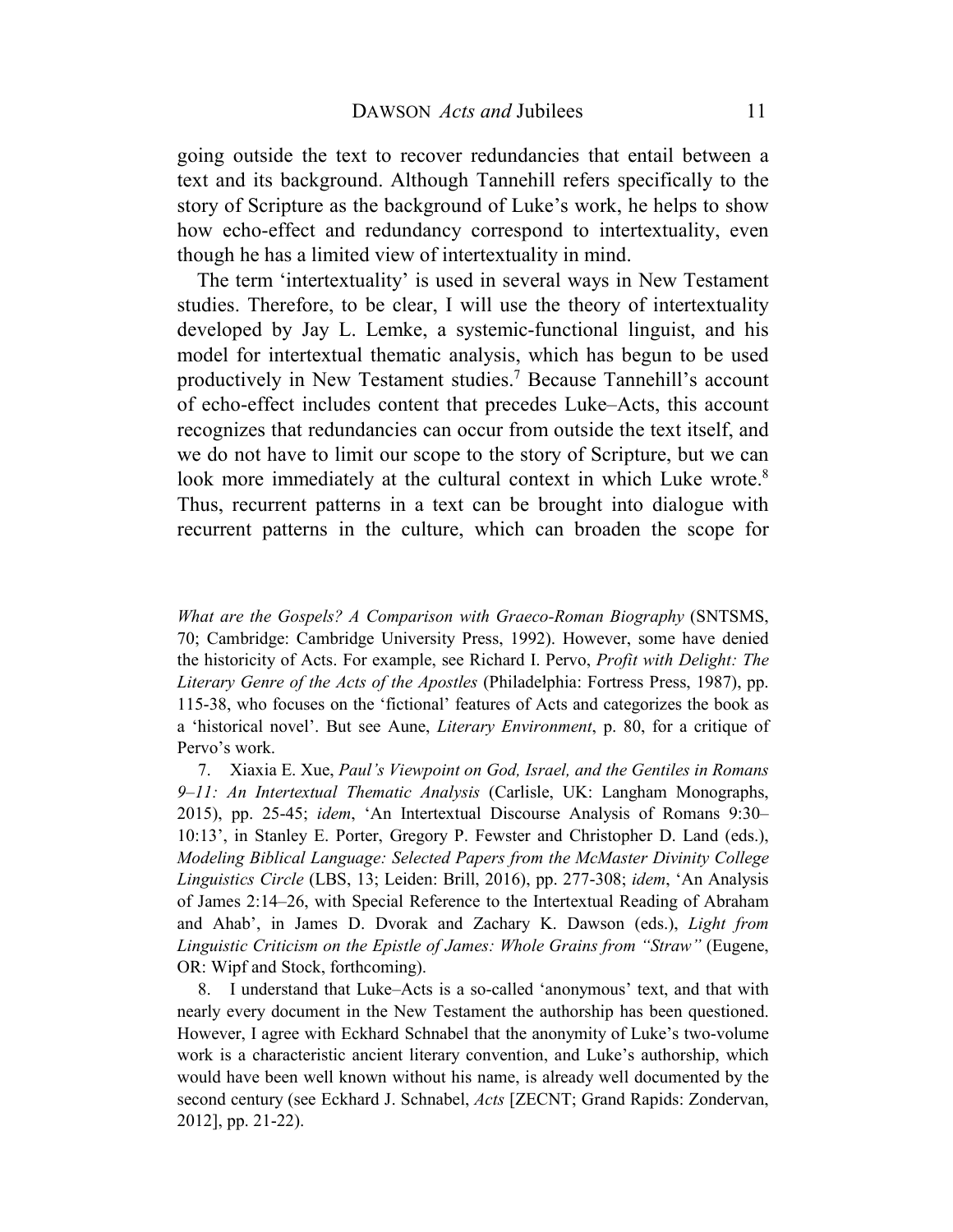going outside the text to recover redundancies that entail between a text and its background. Although Tannehill refers specifically to the story of Scripture as the background of Luke's work, he helps to show how echo-effect and redundancy correspond to intertextuality, even though he has a limited view of intertextuality in mind.

The term 'intertextuality' is used in several ways in New Testament studies. Therefore, to be clear, I will use the theory of intertextuality developed by Jay L. Lemke, a systemic-functional linguist, and his model for intertextual thematic analysis, which has begun to be used productively in New Testament studies.<sup>7</sup> Because Tannehill's account of echo-effect includes content that precedes Luke–Acts, this account recognizes that redundancies can occur from outside the text itself, and we do not have to limit our scope to the story of Scripture, but we can look more immediately at the cultural context in which Luke wrote.<sup>8</sup> Thus, recurrent patterns in a text can be brought into dialogue with recurrent patterns in the culture, which can broaden the scope for

*What are the Gospels? A Comparison with Graeco-Roman Biography* (SNTSMS, 70; Cambridge: Cambridge University Press, 1992). However, some have denied the historicity of Acts. For example, see Richard I. Pervo, *Profit with Delight: The Literary Genre of the Acts of the Apostles* (Philadelphia: Fortress Press, 1987), pp. 115-38, who focuses on the 'fictional' features of Acts and categorizes the book as a 'historical novel'. But see Aune, *Literary Environment*, p. 80, for a critique of Pervo's work.

7. Xiaxia E. Xue, *Paul's Viewpoint on God, Israel, and the Gentiles in Romans 9–11: An Intertextual Thematic Analysis* (Carlisle, UK: Langham Monographs, 2015), pp. 25-45; *idem*, 'An Intertextual Discourse Analysis of Romans 9:30– 10:13', in Stanley E. Porter, Gregory P. Fewster and Christopher D. Land (eds.), *Modeling Biblical Language: Selected Papers from the McMaster Divinity College Linguistics Circle* (LBS, 13; Leiden: Brill, 2016), pp. 277-308; *idem*, 'An Analysis of James 2:14–26, with Special Reference to the Intertextual Reading of Abraham and Ahab', in James D. Dvorak and Zachary K. Dawson (eds.), *Light from Linguistic Criticism on the Epistle of James: Whole Grains from "Straw"* (Eugene, OR: Wipf and Stock, forthcoming).

8. I understand that Luke–Acts is a so-called 'anonymous' text, and that with nearly every document in the New Testament the authorship has been questioned. However, I agree with Eckhard Schnabel that the anonymity of Luke's two-volume work is a characteristic ancient literary convention, and Luke's authorship, which would have been well known without his name, is already well documented by the second century (see Eckhard J. Schnabel, *Acts* [ZECNT; Grand Rapids: Zondervan, 2012], pp. 21-22).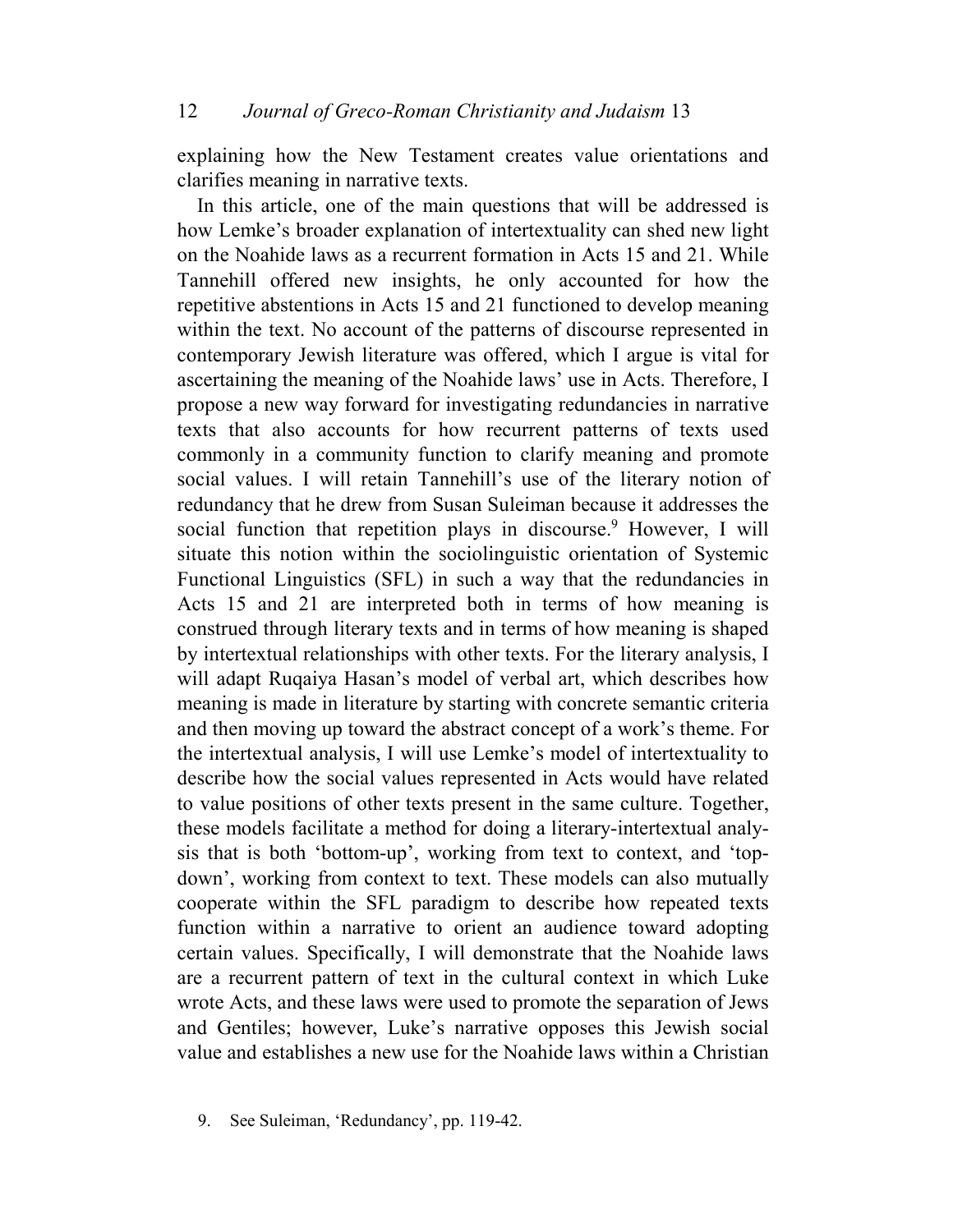explaining how the New Testament creates value orientations and clarifies meaning in narrative texts.

In this article, one of the main questions that will be addressed is how Lemke's broader explanation of intertextuality can shed new light on the Noahide laws as a recurrent formation in Acts 15 and 21. While Tannehill offered new insights, he only accounted for how the repetitive abstentions in Acts 15 and 21 functioned to develop meaning within the text. No account of the patterns of discourse represented in contemporary Jewish literature was offered, which I argue is vital for ascertaining the meaning of the Noahide laws' use in Acts. Therefore, I propose a new way forward for investigating redundancies in narrative texts that also accounts for how recurrent patterns of texts used commonly in a community function to clarify meaning and promote social values. I will retain Tannehill's use of the literary notion of redundancy that he drew from Susan Suleiman because it addresses the social function that repetition plays in discourse.<sup>9</sup> However, I will situate this notion within the sociolinguistic orientation of Systemic Functional Linguistics (SFL) in such a way that the redundancies in Acts 15 and 21 are interpreted both in terms of how meaning is construed through literary texts and in terms of how meaning is shaped by intertextual relationships with other texts. For the literary analysis, I will adapt Ruqaiya Hasan's model of verbal art, which describes how meaning is made in literature by starting with concrete semantic criteria and then moving up toward the abstract concept of a work's theme. For the intertextual analysis, I will use Lemke's model of intertextuality to describe how the social values represented in Acts would have related to value positions of other texts present in the same culture. Together, these models facilitate a method for doing a literary-intertextual analysis that is both 'bottom-up', working from text to context, and 'topdown', working from context to text. These models can also mutually cooperate within the SFL paradigm to describe how repeated texts function within a narrative to orient an audience toward adopting certain values. Specifically, I will demonstrate that the Noahide laws are a recurrent pattern of text in the cultural context in which Luke wrote Acts, and these laws were used to promote the separation of Jews and Gentiles; however, Luke's narrative opposes this Jewish social value and establishes a new use for the Noahide laws within a Christian

<sup>9.</sup> See Suleiman, 'Redundancy', pp. 119-42.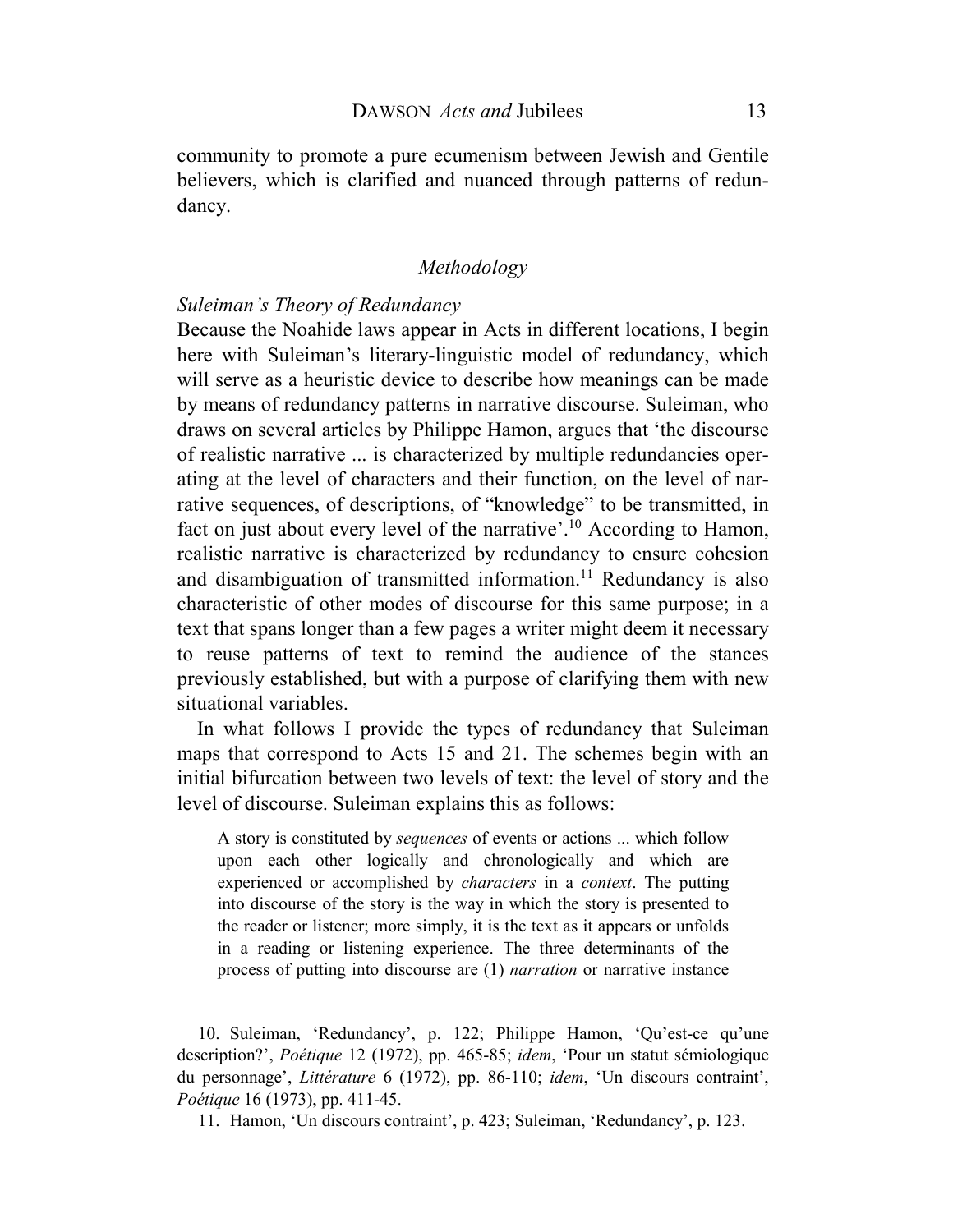community to promote a pure ecumenism between Jewish and Gentile believers, which is clarified and nuanced through patterns of redundancy.

# *Methodology*

# *Suleiman's Theory of Redundancy*

Because the Noahide laws appear in Acts in different locations, I begin here with Suleiman's literary-linguistic model of redundancy, which will serve as a heuristic device to describe how meanings can be made by means of redundancy patterns in narrative discourse. Suleiman, who draws on several articles by Philippe Hamon, argues that 'the discourse of realistic narrative ... is characterized by multiple redundancies operating at the level of characters and their function, on the level of narrative sequences, of descriptions, of "knowledge" to be transmitted, in fact on just about every level of the narrative'.<sup>10</sup> According to Hamon, realistic narrative is characterized by redundancy to ensure cohesion and disambiguation of transmitted information.<sup>11</sup> Redundancy is also characteristic of other modes of discourse for this same purpose; in a text that spans longer than a few pages a writer might deem it necessary to reuse patterns of text to remind the audience of the stances previously established, but with a purpose of clarifying them with new situational variables.

In what follows I provide the types of redundancy that Suleiman maps that correspond to Acts 15 and 21. The schemes begin with an initial bifurcation between two levels of text: the level of story and the level of discourse. Suleiman explains this as follows:

A story is constituted by *sequences* of events or actions ... which follow upon each other logically and chronologically and which are experienced or accomplished by *characters* in a *context*. The putting into discourse of the story is the way in which the story is presented to the reader or listener; more simply, it is the text as it appears or unfolds in a reading or listening experience. The three determinants of the process of putting into discourse are (1) *narration* or narrative instance

10. Suleiman, 'Redundancy', p. 122; Philippe Hamon, 'Qu'est-ce qu'une description?', *Poétique* 12 (1972), pp. 465-85; *idem*, 'Pour un statut sémiologique du personnage', *Littérature* 6 (1972), pp. 86-110; *idem*, 'Un discours contraint', *Poétique* 16 (1973), pp. 411-45.

11. Hamon, 'Un discours contraint', p. 423; Suleiman, 'Redundancy', p. 123.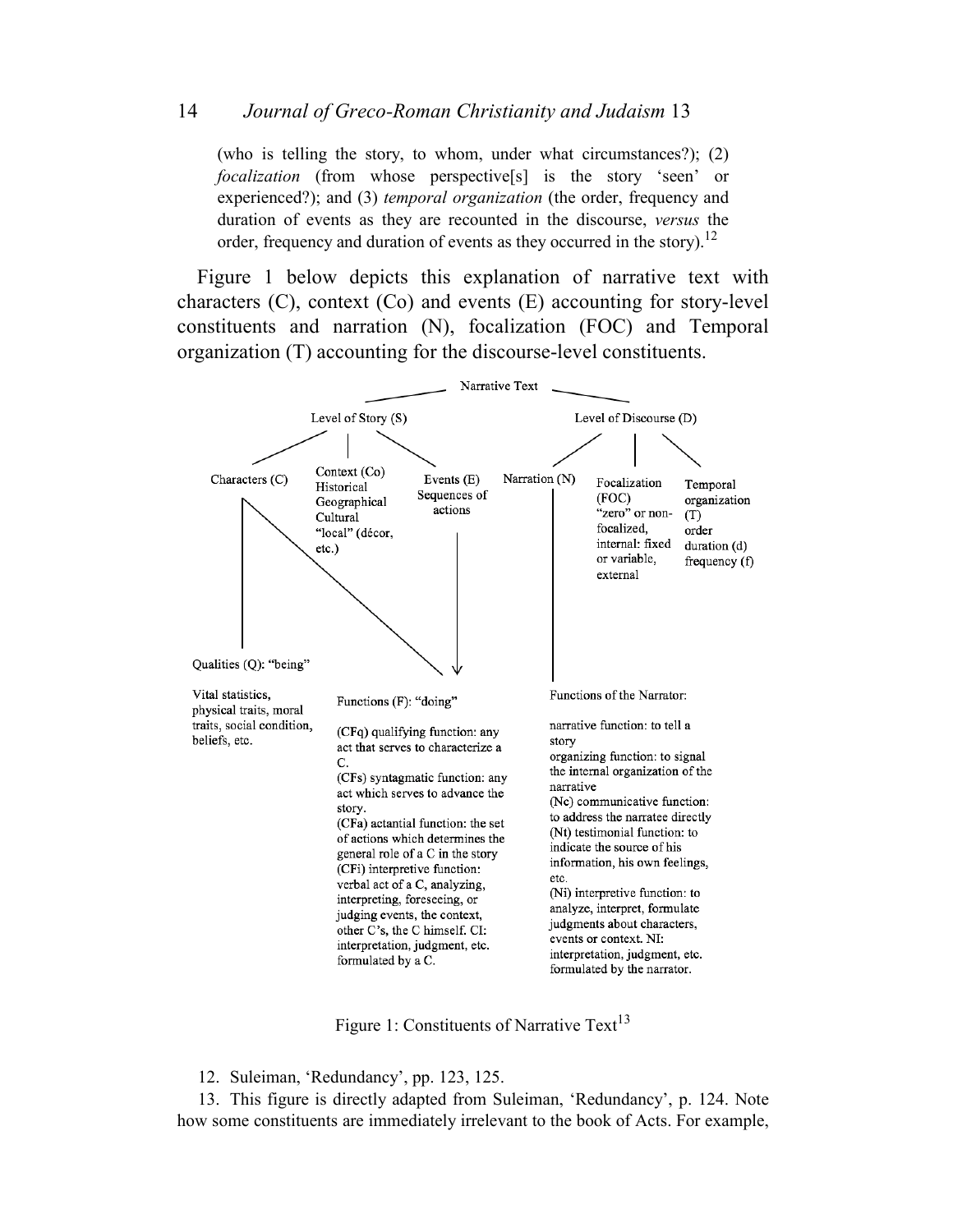(who is telling the story, to whom, under what circumstances?); (2) *focalization* (from whose perspective[s] is the story 'seen' or experienced?); and (3) *temporal organization* (the order, frequency and duration of events as they are recounted in the discourse, *versus* the order, frequency and duration of events as they occurred in the story).<sup>12</sup>

Figure 1 below depicts this explanation of narrative text with characters (C), context (Co) and events (E) accounting for story-level constituents and narration (N), focalization (FOC) and Temporal organization (T) accounting for the discourse-level constituents.



Figure 1: Constituents of Narrative Text<sup>13</sup>

12. Suleiman, 'Redundancy', pp. 123, 125.

13. This figure is directly adapted from Suleiman, 'Redundancy', p. 124. Note how some constituents are immediately irrelevant to the book of Acts. For example,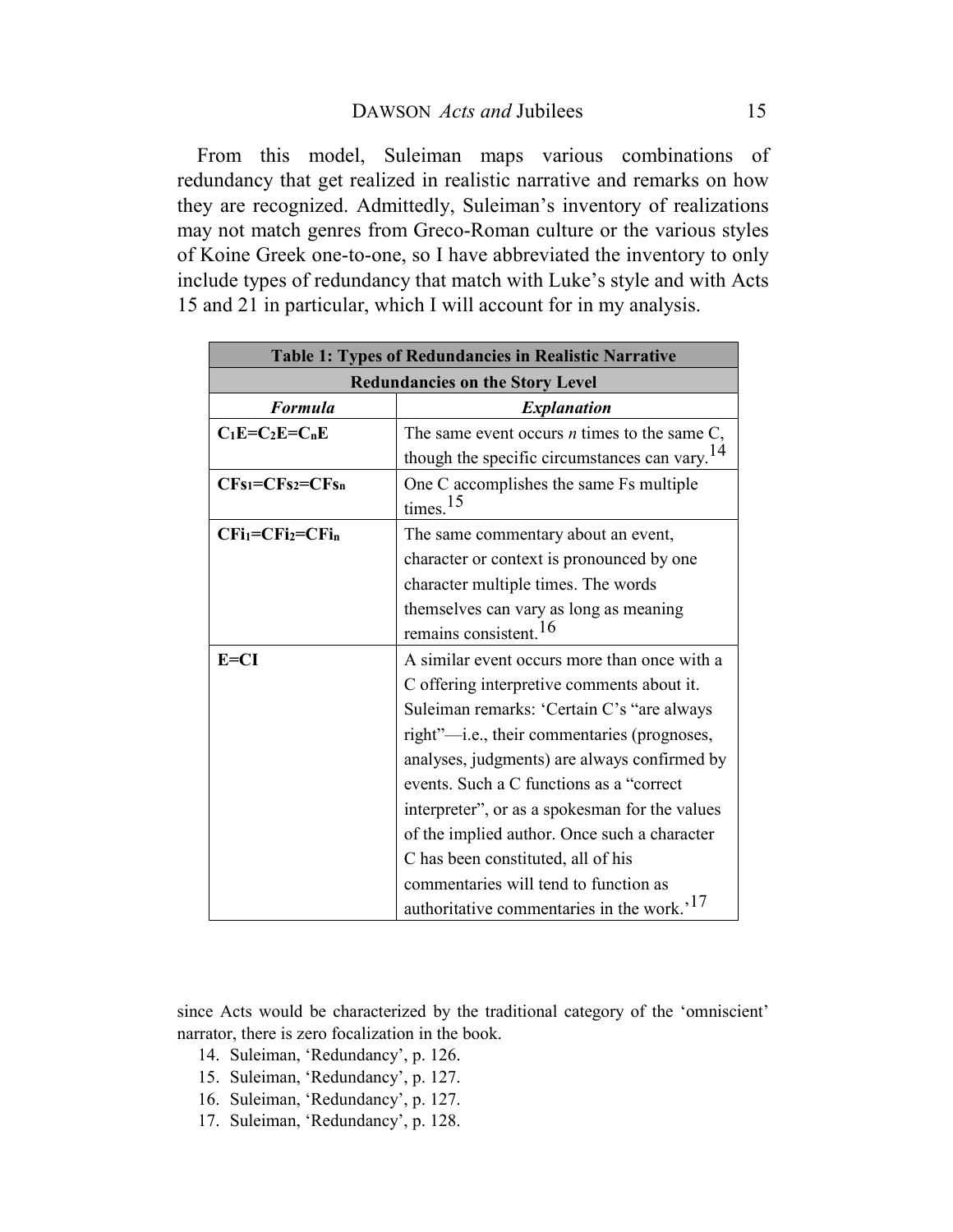From this model, Suleiman maps various combinations of redundancy that get realized in realistic narrative and remarks on how they are recognized. Admittedly, Suleiman's inventory of realizations may not match genres from Greco-Roman culture or the various styles of Koine Greek one-to-one, so I have abbreviated the inventory to only include types of redundancy that match with Luke's style and with Acts 15 and 21 in particular, which I will account for in my analysis.

| <b>Table 1: Types of Redundancies in Realistic Narrative</b> |                                                           |  |  |
|--------------------------------------------------------------|-----------------------------------------------------------|--|--|
| <b>Redundancies on the Story Level</b>                       |                                                           |  |  |
| <b>Formula</b>                                               | <i><b>Explanation</b></i>                                 |  |  |
| $C_1E=C_2E=C_nE$                                             | The same event occurs $n$ times to the same $C$ ,         |  |  |
|                                                              | though the specific circumstances can vary. <sup>14</sup> |  |  |
| $CFs_1 = CFs_2 = CFs_n$                                      | One C accomplishes the same Fs multiple                   |  |  |
|                                                              | times <sup>15</sup>                                       |  |  |
| $CFi1=CFi2=CFin$                                             | The same commentary about an event,                       |  |  |
|                                                              | character or context is pronounced by one                 |  |  |
|                                                              | character multiple times. The words                       |  |  |
|                                                              | themselves can vary as long as meaning                    |  |  |
|                                                              | remains consistent. <sup>16</sup>                         |  |  |
| $E=CI$                                                       | A similar event occurs more than once with a              |  |  |
|                                                              | C offering interpretive comments about it.                |  |  |
|                                                              | Suleiman remarks: 'Certain C's "are always                |  |  |
|                                                              | right"-i.e., their commentaries (prognoses,               |  |  |
|                                                              | analyses, judgments) are always confirmed by              |  |  |
|                                                              | events. Such a C functions as a "correct"                 |  |  |
|                                                              | interpreter", or as a spokesman for the values            |  |  |
|                                                              | of the implied author. Once such a character              |  |  |
|                                                              | C has been constituted, all of his                        |  |  |
|                                                              | commentaries will tend to function as                     |  |  |
|                                                              | authoritative commentaries in the work. <sup>17</sup>     |  |  |

since Acts would be characterized by the traditional category of the 'omniscient' narrator, there is zero focalization in the book.

- 14. Suleiman, 'Redundancy', p. 126.
- 15. Suleiman, 'Redundancy', p. 127.
- 16. Suleiman, 'Redundancy', p. 127.
- 17. Suleiman, 'Redundancy', p. 128.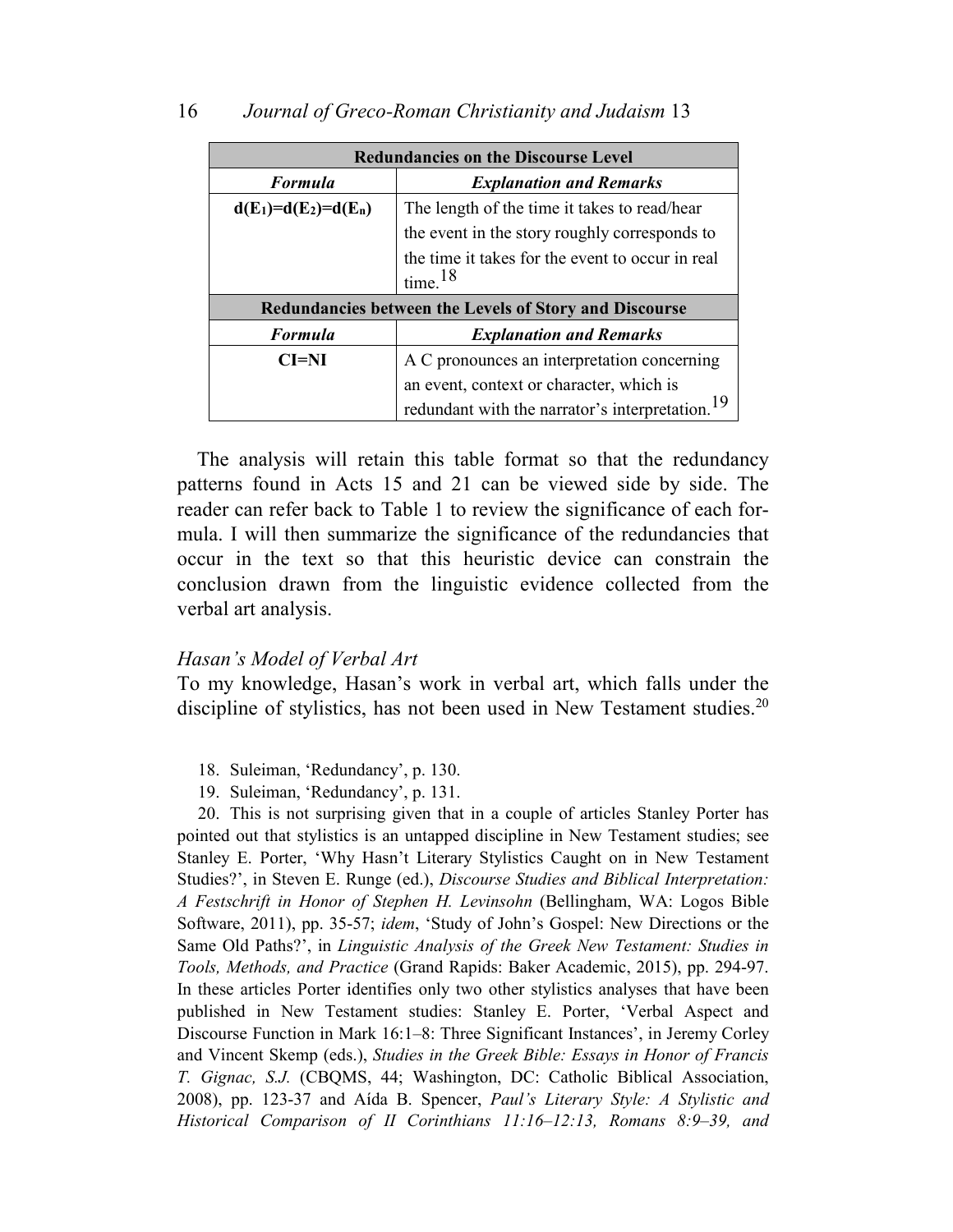| 16 | Journal of Greco-Roman Christianity and Judaism 13 |  |  |  |
|----|----------------------------------------------------|--|--|--|
|----|----------------------------------------------------|--|--|--|

| <b>Redundancies on the Discourse Level</b> |                                                                         |  |
|--------------------------------------------|-------------------------------------------------------------------------|--|
| <b>Formula</b>                             | <b>Explanation and Remarks</b>                                          |  |
| $d(E_1)=d(E_2)=d(E_n)$                     | The length of the time it takes to read/hear                            |  |
|                                            | the event in the story roughly corresponds to                           |  |
|                                            | the time it takes for the event to occur in real<br>time. <sup>18</sup> |  |
|                                            | <b>Redundancies between the Levels of Story and Discourse</b>           |  |
| <b>Formula</b>                             | <b>Explanation and Remarks</b>                                          |  |
| $CI=NI$                                    | A C pronounces an interpretation concerning                             |  |
|                                            | an event, context or character, which is                                |  |
|                                            | redundant with the narrator's interpretation.                           |  |

The analysis will retain this table format so that the redundancy patterns found in Acts 15 and 21 can be viewed side by side. The reader can refer back to Table 1 to review the significance of each formula. I will then summarize the significance of the redundancies that occur in the text so that this heuristic device can constrain the conclusion drawn from the linguistic evidence collected from the verbal art analysis.

#### *Hasan's Model of Verbal Art*

To my knowledge, Hasan's work in verbal art, which falls under the discipline of stylistics, has not been used in New Testament studies.<sup>20</sup>

- 18. Suleiman, 'Redundancy', p. 130.
- 19. Suleiman, 'Redundancy', p. 131.

20. This is not surprising given that in a couple of articles Stanley Porter has pointed out that stylistics is an untapped discipline in New Testament studies; see Stanley E. Porter, 'Why Hasn't Literary Stylistics Caught on in New Testament Studies?', in Steven E. Runge (ed.), *Discourse Studies and Biblical Interpretation: A Festschrift in Honor of Stephen H. Levinsohn* (Bellingham, WA: Logos Bible Software, 2011), pp. 35-57; *idem*, 'Study of John's Gospel: New Directions or the Same Old Paths?', in *Linguistic Analysis of the Greek New Testament: Studies in Tools, Methods, and Practice* (Grand Rapids: Baker Academic, 2015), pp. 294-97. In these articles Porter identifies only two other stylistics analyses that have been published in New Testament studies: Stanley E. Porter, 'Verbal Aspect and Discourse Function in Mark 16:1–8: Three Significant Instances', in Jeremy Corley and Vincent Skemp (eds.), *Studies in the Greek Bible: Essays in Honor of Francis T. Gignac, S.J.* (CBQMS, 44; Washington, DC: Catholic Biblical Association, 2008), pp. 123-37 and Aída B. Spencer, *Paul's Literary Style: A Stylistic and Historical Comparison of II Corinthians 11:16–12:13, Romans 8:9–39, and*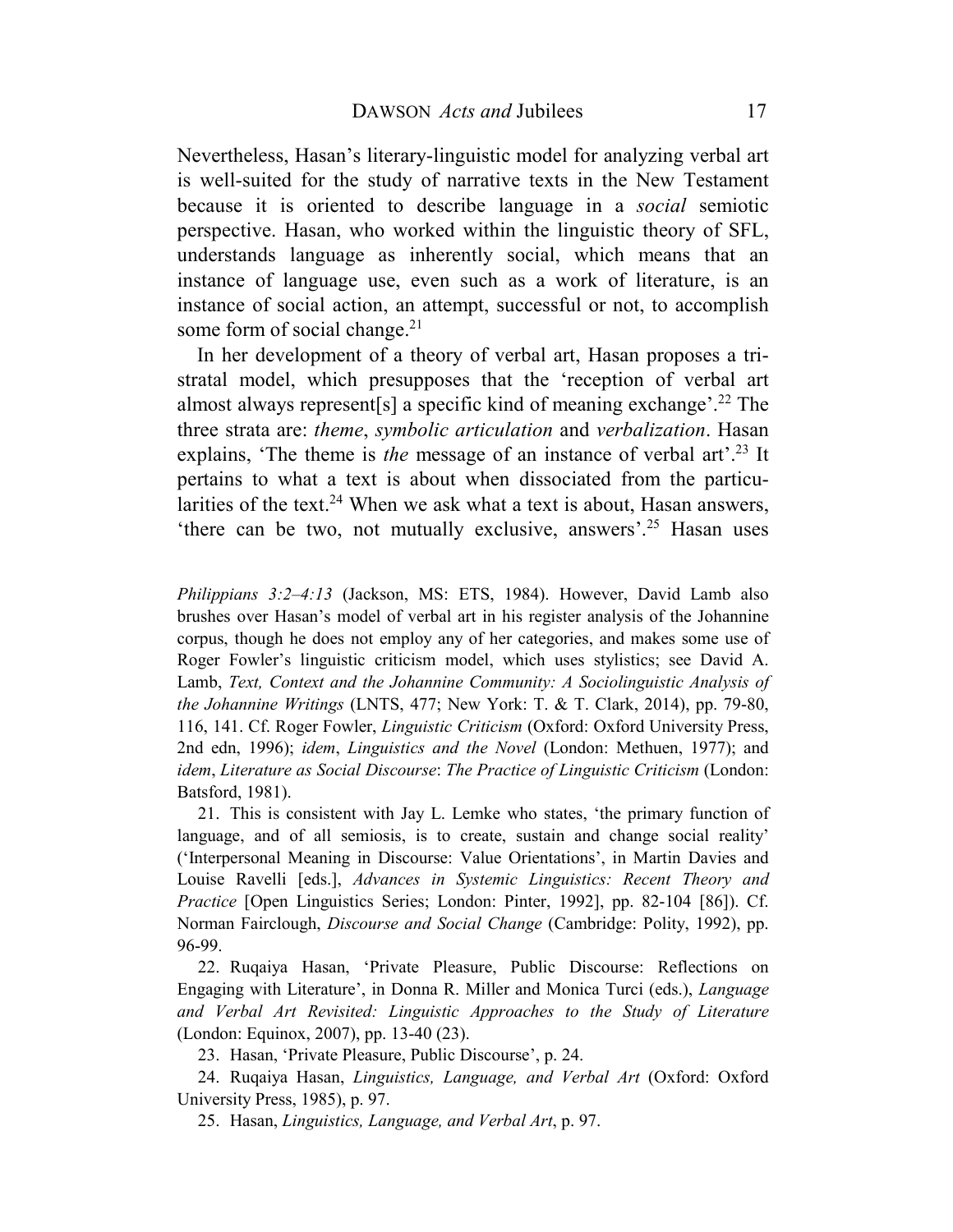Nevertheless, Hasan's literary-linguistic model for analyzing verbal art is well-suited for the study of narrative texts in the New Testament because it is oriented to describe language in a *social* semiotic perspective. Hasan, who worked within the linguistic theory of SFL, understands language as inherently social, which means that an instance of language use, even such as a work of literature, is an instance of social action, an attempt, successful or not, to accomplish some form of social change.<sup>21</sup>

In her development of a theory of verbal art, Hasan proposes a tristratal model, which presupposes that the 'reception of verbal art almost always represent [s] a specific kind of meaning exchange'.<sup>22</sup> The three strata are: *theme*, *symbolic articulation* and *verbalization*. Hasan explains, 'The theme is *the* message of an instance of verbal art'.<sup>23</sup> It pertains to what a text is about when dissociated from the particularities of the text.<sup>24</sup> When we ask what a text is about, Hasan answers, 'there can be two, not mutually exclusive, answers'. <sup>25</sup> Hasan uses

*Philippians 3:2–4:13* (Jackson, MS: ETS, 1984). However, David Lamb also brushes over Hasan's model of verbal art in his register analysis of the Johannine corpus, though he does not employ any of her categories, and makes some use of Roger Fowler's linguistic criticism model, which uses stylistics; see David A. Lamb, *Text, Context and the Johannine Community: A Sociolinguistic Analysis of the Johannine Writings* (LNTS, 477; New York: T. & T. Clark, 2014), pp. 79-80, 116, 141. Cf. Roger Fowler, *Linguistic Criticism* (Oxford: Oxford University Press, 2nd edn, 1996); *idem*, *Linguistics and the Novel* (London: Methuen, 1977); and *idem*, *Literature as Social Discourse*: *The Practice of Linguistic Criticism* (London: Batsford, 1981).

21. This is consistent with Jay L. Lemke who states, 'the primary function of language, and of all semiosis, is to create, sustain and change social reality' ('Interpersonal Meaning in Discourse: Value Orientations', in Martin Davies and Louise Ravelli [eds.], *Advances in Systemic Linguistics: Recent Theory and Practice* [Open Linguistics Series; London: Pinter, 1992], pp. 82-104 [86]). Cf. Norman Fairclough, *Discourse and Social Change* (Cambridge: Polity, 1992), pp. 96-99.

22. Ruqaiya Hasan, 'Private Pleasure, Public Discourse: Reflections on Engaging with Literature', in Donna R. Miller and Monica Turci (eds.), *Language and Verbal Art Revisited: Linguistic Approaches to the Study of Literature* (London: Equinox, 2007), pp. 13-40 (23).

23. Hasan, 'Private Pleasure, Public Discourse', p. 24.

24. Ruqaiya Hasan, *Linguistics, Language, and Verbal Art* (Oxford: Oxford University Press, 1985), p. 97.

25. Hasan, *Linguistics, Language, and Verbal Art*, p. 97.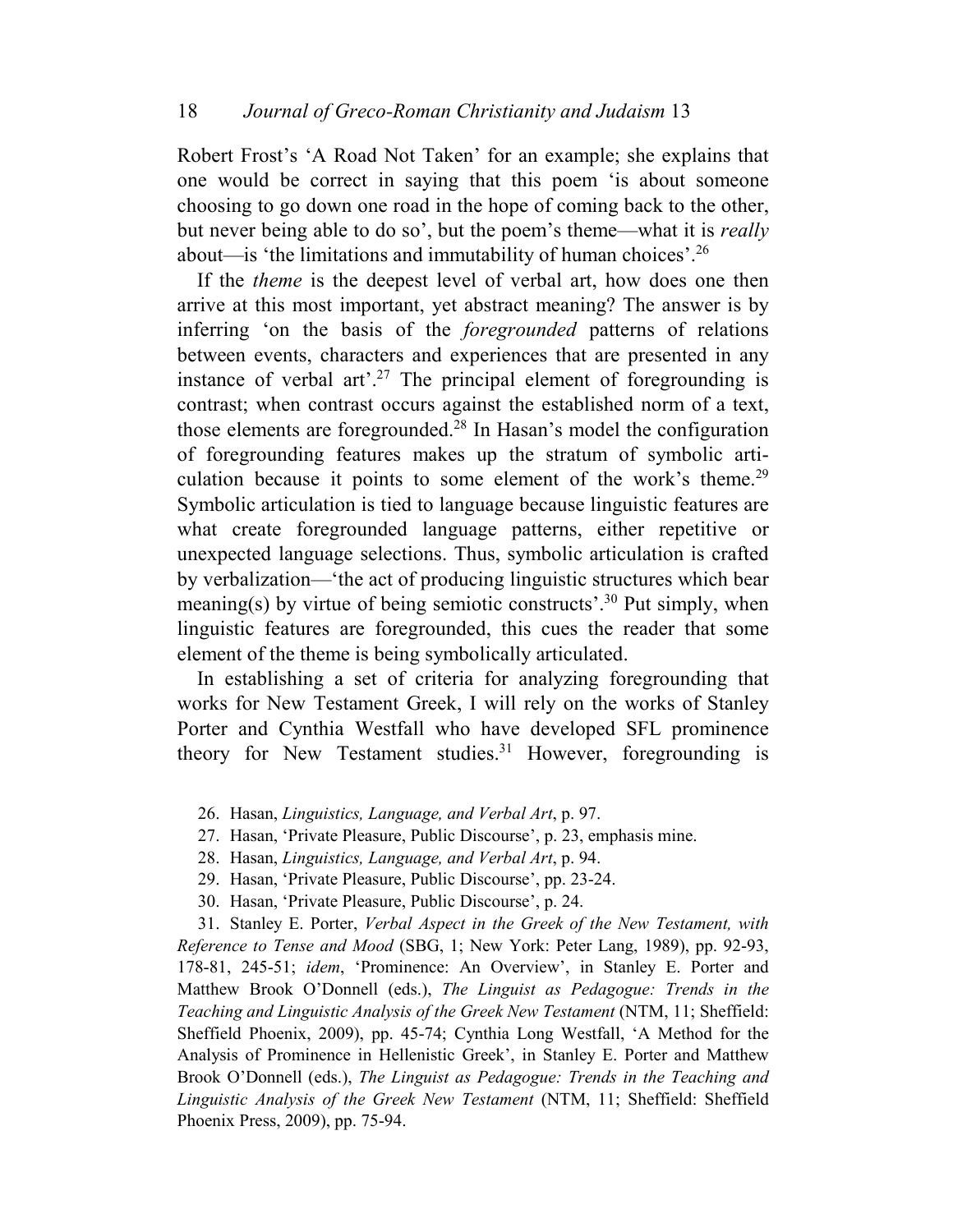Robert Frost's 'A Road Not Taken' for an example; she explains that one would be correct in saying that this poem 'is about someone choosing to go down one road in the hope of coming back to the other, but never being able to do so', but the poem's theme—what it is *really*  about—is 'the limitations and immutability of human choices'.<sup>26</sup>

If the *theme* is the deepest level of verbal art, how does one then arrive at this most important, yet abstract meaning? The answer is by inferring 'on the basis of the *foregrounded* patterns of relations between events, characters and experiences that are presented in any instance of verbal art<sup>27</sup>.<sup>27</sup> The principal element of foregrounding is contrast; when contrast occurs against the established norm of a text, those elements are foregrounded.<sup>28</sup> In Hasan's model the configuration of foregrounding features makes up the stratum of symbolic articulation because it points to some element of the work's theme.<sup>29</sup> Symbolic articulation is tied to language because linguistic features are what create foregrounded language patterns, either repetitive or unexpected language selections. Thus, symbolic articulation is crafted by verbalization—'the act of producing linguistic structures which bear meaning(s) by virtue of being semiotic constructs'.<sup>30</sup> Put simply, when linguistic features are foregrounded, this cues the reader that some element of the theme is being symbolically articulated.

In establishing a set of criteria for analyzing foregrounding that works for New Testament Greek, I will rely on the works of Stanley Porter and Cynthia Westfall who have developed SFL prominence theory for New Testament studies.<sup>31</sup> However, foregrounding is

- 26. Hasan, *Linguistics, Language, and Verbal Art*, p. 97.
- 27. Hasan, 'Private Pleasure, Public Discourse', p. 23, emphasis mine.
- 28. Hasan, *Linguistics, Language, and Verbal Art*, p. 94.
- 29. Hasan, 'Private Pleasure, Public Discourse', pp. 23-24.
- 30. Hasan, 'Private Pleasure, Public Discourse', p. 24.

31. Stanley E. Porter, *Verbal Aspect in the Greek of the New Testament, with Reference to Tense and Mood* (SBG, 1; New York: Peter Lang, 1989), pp. 92-93, 178-81, 245-51; *idem*, 'Prominence: An Overview', in Stanley E. Porter and Matthew Brook O'Donnell (eds.), *The Linguist as Pedagogue: Trends in the Teaching and Linguistic Analysis of the Greek New Testament* (NTM, 11; Sheffield: Sheffield Phoenix, 2009), pp. 45-74; Cynthia Long Westfall, 'A Method for the Analysis of Prominence in Hellenistic Greek', in Stanley E. Porter and Matthew Brook O'Donnell (eds.), *The Linguist as Pedagogue: Trends in the Teaching and Linguistic Analysis of the Greek New Testament* (NTM, 11; Sheffield: Sheffield Phoenix Press, 2009), pp. 75-94.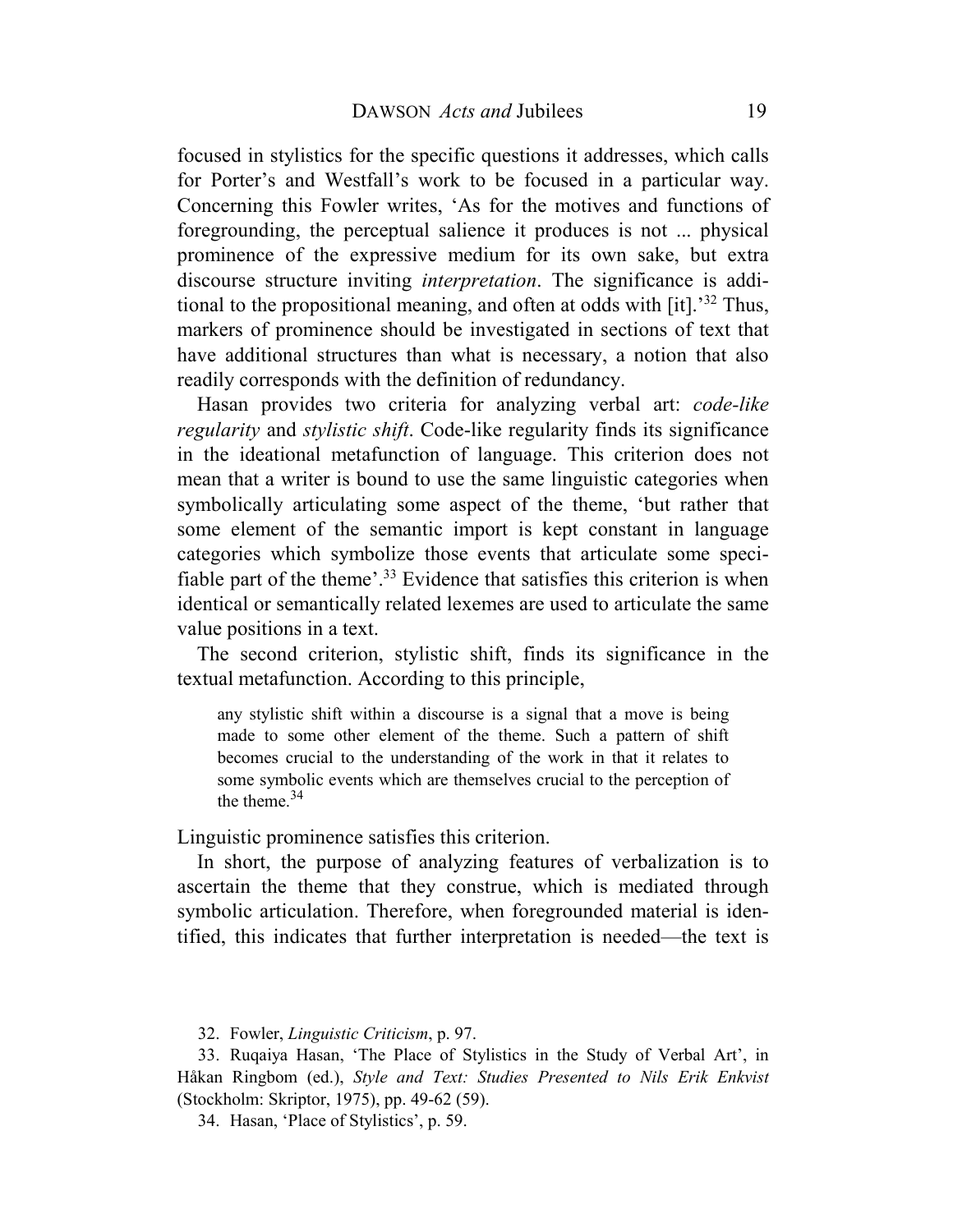focused in stylistics for the specific questions it addresses, which calls for Porter's and Westfall's work to be focused in a particular way. Concerning this Fowler writes, 'As for the motives and functions of foregrounding, the perceptual salience it produces is not ... physical prominence of the expressive medium for its own sake, but extra discourse structure inviting *interpretation*. The significance is additional to the propositional meaning, and often at odds with [it].'<sup>32</sup> Thus, markers of prominence should be investigated in sections of text that have additional structures than what is necessary, a notion that also readily corresponds with the definition of redundancy.

Hasan provides two criteria for analyzing verbal art: *code-like regularity* and *stylistic shift*. Code-like regularity finds its significance in the ideational metafunction of language. This criterion does not mean that a writer is bound to use the same linguistic categories when symbolically articulating some aspect of the theme, 'but rather that some element of the semantic import is kept constant in language categories which symbolize those events that articulate some specifiable part of the theme'.<sup>33</sup> Evidence that satisfies this criterion is when identical or semantically related lexemes are used to articulate the same value positions in a text.

The second criterion, stylistic shift, finds its significance in the textual metafunction. According to this principle,

any stylistic shift within a discourse is a signal that a move is being made to some other element of the theme. Such a pattern of shift becomes crucial to the understanding of the work in that it relates to some symbolic events which are themselves crucial to the perception of the theme. $34$ 

Linguistic prominence satisfies this criterion.

In short, the purpose of analyzing features of verbalization is to ascertain the theme that they construe, which is mediated through symbolic articulation. Therefore, when foregrounded material is identified, this indicates that further interpretation is needed—the text is

32. Fowler, *Linguistic Criticism*, p. 97.

33. Ruqaiya Hasan, 'The Place of Stylistics in the Study of Verbal Art', in Håkan Ringbom (ed.), *Style and Text: Studies Presented to Nils Erik Enkvist* (Stockholm: Skriptor, 1975), pp. 49-62 (59).

34. Hasan, 'Place of Stylistics', p. 59.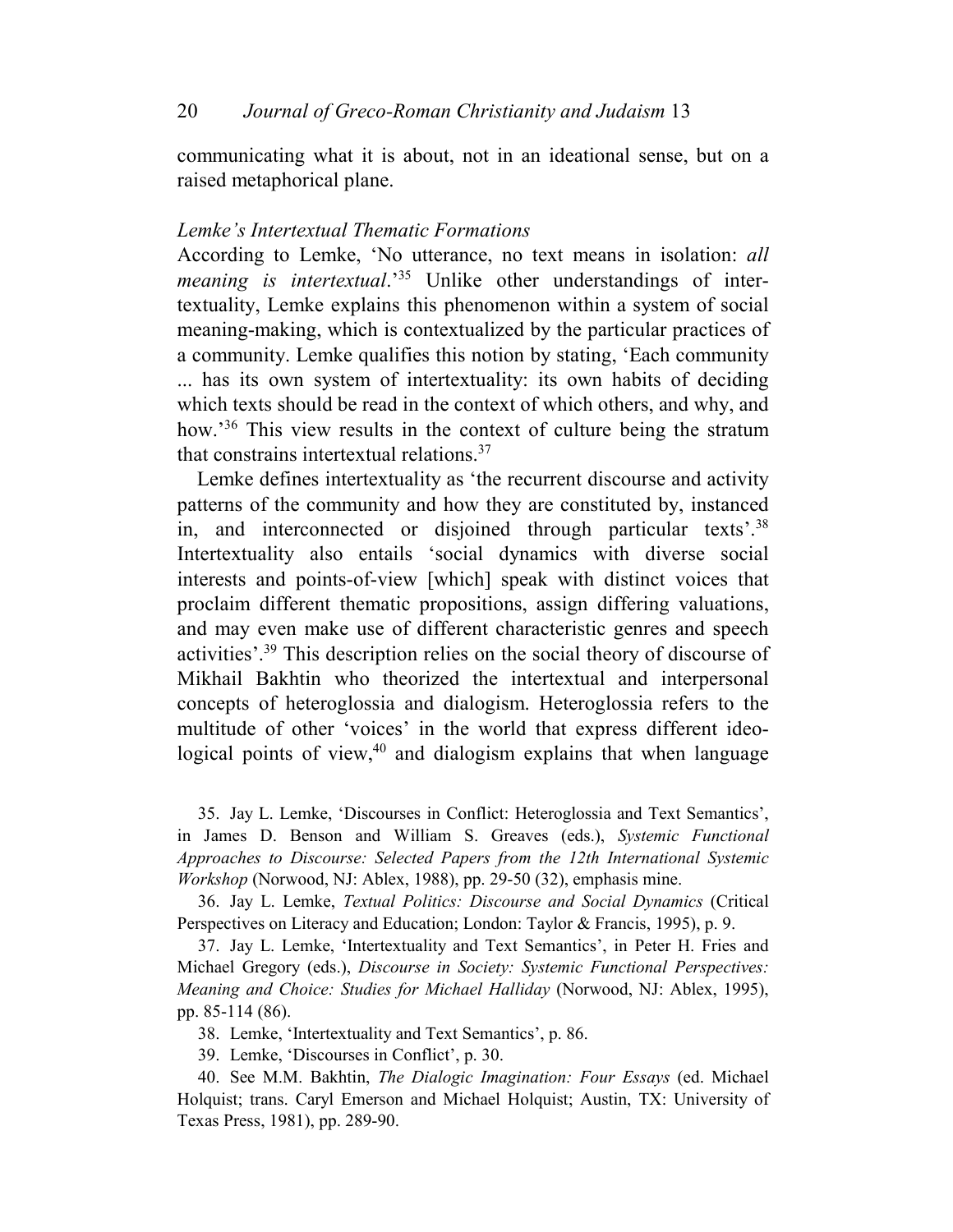communicating what it is about, not in an ideational sense, but on a raised metaphorical plane.

# *Lemke's Intertextual Thematic Formations*

According to Lemke, 'No utterance, no text means in isolation: *all meaning is intertextual*.'35 Unlike other understandings of intertextuality, Lemke explains this phenomenon within a system of social meaning-making, which is contextualized by the particular practices of a community. Lemke qualifies this notion by stating, 'Each community ... has its own system of intertextuality: its own habits of deciding which texts should be read in the context of which others, and why, and how.<sup>36</sup> This view results in the context of culture being the stratum that constrains intertextual relations.<sup>37</sup>

Lemke defines intertextuality as 'the recurrent discourse and activity patterns of the community and how they are constituted by, instanced in, and interconnected or disjoined through particular texts'.<sup>38</sup> Intertextuality also entails 'social dynamics with diverse social interests and points-of-view [which] speak with distinct voices that proclaim different thematic propositions, assign differing valuations, and may even make use of different characteristic genres and speech activities'.<sup>39</sup> This description relies on the social theory of discourse of Mikhail Bakhtin who theorized the intertextual and interpersonal concepts of heteroglossia and dialogism. Heteroglossia refers to the multitude of other 'voices' in the world that express different ideological points of view, $40$  and dialogism explains that when language

35. Jay L. Lemke, 'Discourses in Conflict: Heteroglossia and Text Semantics', in James D. Benson and William S. Greaves (eds.), *Systemic Functional Approaches to Discourse: Selected Papers from the 12th International Systemic Workshop* (Norwood, NJ: Ablex, 1988), pp. 29-50 (32), emphasis mine.

36. Jay L. Lemke, *Textual Politics: Discourse and Social Dynamics* (Critical Perspectives on Literacy and Education; London: Taylor & Francis, 1995), p. 9.

37. Jay L. Lemke, 'Intertextuality and Text Semantics', in Peter H. Fries and Michael Gregory (eds.), *Discourse in Society: Systemic Functional Perspectives: Meaning and Choice: Studies for Michael Halliday* (Norwood, NJ: Ablex, 1995), pp. 85-114 (86).

38. Lemke, 'Intertextuality and Text Semantics', p. 86.

39. Lemke, 'Discourses in Conflict', p. 30.

40. See M.M. Bakhtin, *The Dialogic Imagination: Four Essays* (ed. Michael Holquist; trans. Caryl Emerson and Michael Holquist; Austin, TX: University of Texas Press, 1981), pp. 289-90.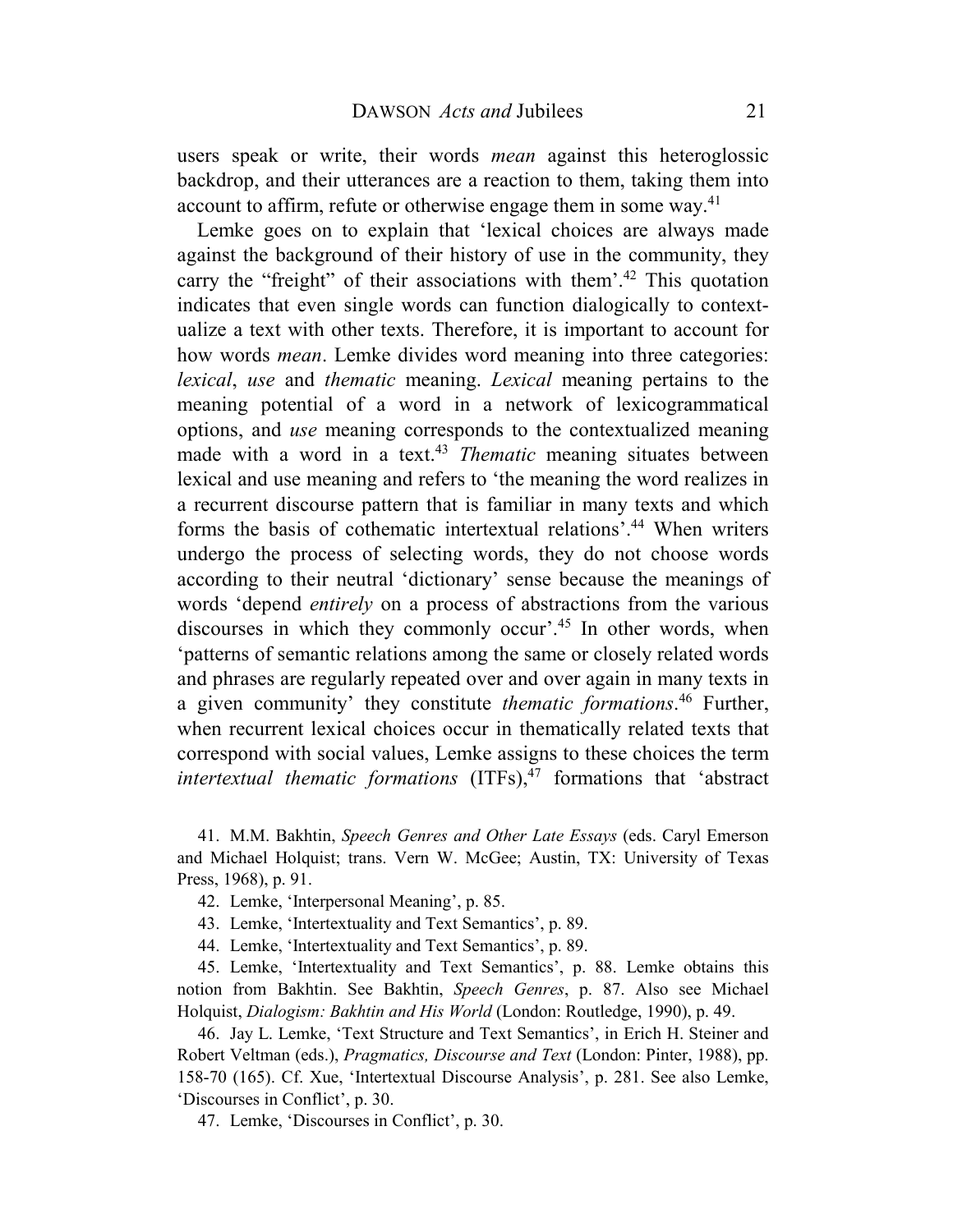users speak or write, their words *mean* against this heteroglossic backdrop, and their utterances are a reaction to them, taking them into account to affirm, refute or otherwise engage them in some way.<sup>41</sup>

Lemke goes on to explain that 'lexical choices are always made against the background of their history of use in the community, they carry the "freight" of their associations with them'.<sup>42</sup> This quotation indicates that even single words can function dialogically to contextualize a text with other texts. Therefore, it is important to account for how words *mean*. Lemke divides word meaning into three categories: *lexical*, *use* and *thematic* meaning. *Lexical* meaning pertains to the meaning potential of a word in a network of lexicogrammatical options, and *use* meaning corresponds to the contextualized meaning made with a word in a text.<sup>43</sup> *Thematic* meaning situates between lexical and use meaning and refers to 'the meaning the word realizes in a recurrent discourse pattern that is familiar in many texts and which forms the basis of cothematic intertextual relations'.<sup>44</sup> When writers undergo the process of selecting words, they do not choose words according to their neutral 'dictionary' sense because the meanings of words 'depend *entirely* on a process of abstractions from the various discourses in which they commonly occur'.<sup>45</sup> In other words, when 'patterns of semantic relations among the same or closely related words and phrases are regularly repeated over and over again in many texts in a given community' they constitute *thematic formations*. <sup>46</sup> Further, when recurrent lexical choices occur in thematically related texts that correspond with social values, Lemke assigns to these choices the term *intertextual thematic formations* (ITFs),<sup>47</sup> formations that 'abstract

41. M.M. Bakhtin, *Speech Genres and Other Late Essays* (eds. Caryl Emerson and Michael Holquist; trans. Vern W. McGee; Austin, TX: University of Texas Press, 1968), p. 91.

- 42. Lemke, 'Interpersonal Meaning', p. 85.
- 43. Lemke, 'Intertextuality and Text Semantics', p. 89.
- 44. Lemke, 'Intertextuality and Text Semantics', p. 89.

45. Lemke, 'Intertextuality and Text Semantics', p. 88. Lemke obtains this notion from Bakhtin. See Bakhtin, *Speech Genres*, p. 87. Also see Michael Holquist, *Dialogism: Bakhtin and His World* (London: Routledge, 1990), p. 49.

46. Jay L. Lemke, 'Text Structure and Text Semantics', in Erich H. Steiner and Robert Veltman (eds.), *Pragmatics, Discourse and Text* (London: Pinter, 1988), pp. 158-70 (165). Cf. Xue, 'Intertextual Discourse Analysis', p. 281. See also Lemke, 'Discourses in Conflict', p. 30.

47. Lemke, 'Discourses in Conflict', p. 30.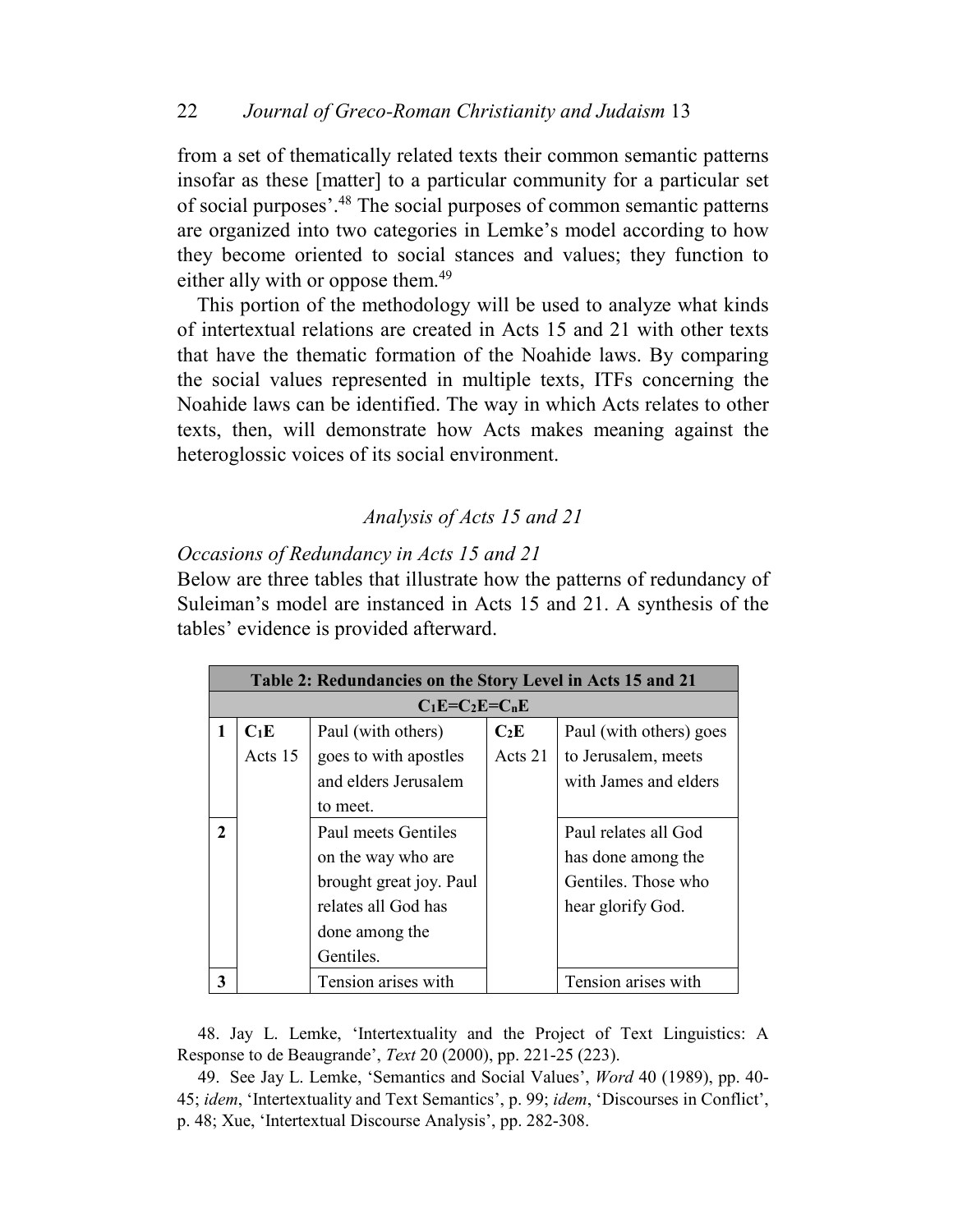from a set of thematically related texts their common semantic patterns insofar as these [matter] to a particular community for a particular set of social purposes'.<sup>48</sup> The social purposes of common semantic patterns are organized into two categories in Lemke's model according to how they become oriented to social stances and values; they function to either ally with or oppose them.<sup>49</sup>

This portion of the methodology will be used to analyze what kinds of intertextual relations are created in Acts 15 and 21 with other texts that have the thematic formation of the Noahide laws. By comparing the social values represented in multiple texts, ITFs concerning the Noahide laws can be identified. The way in which Acts relates to other texts, then, will demonstrate how Acts makes meaning against the heteroglossic voices of its social environment.

# *Analysis of Acts 15 and 21*

# *Occasions of Redundancy in Acts 15 and 21*

Below are three tables that illustrate how the patterns of redundancy of Suleiman's model are instanced in Acts 15 and 21. A synthesis of the tables' evidence is provided afterward.

|                             | Table 2: Redundancies on the Story Level in Acts 15 and 21 |                         |         |                         |
|-----------------------------|------------------------------------------------------------|-------------------------|---------|-------------------------|
|                             |                                                            | $C_1E=C_2E=C_nE$        |         |                         |
|                             | $C_1E$                                                     | Paul (with others)      | $C_2E$  | Paul (with others) goes |
|                             | Acts 15                                                    | goes to with apostles   | Acts 21 | to Jerusalem, meets     |
|                             |                                                            | and elders Jerusalem    |         | with James and elders   |
|                             |                                                            | to meet.                |         |                         |
| $\mathcal{D}_{\mathcal{L}}$ |                                                            | Paul meets Gentiles     |         | Paul relates all God    |
|                             |                                                            | on the way who are      |         | has done among the      |
|                             |                                                            | brought great joy. Paul |         | Gentiles. Those who     |
|                             |                                                            | relates all God has     |         | hear glorify God.       |
|                             |                                                            | done among the          |         |                         |
|                             |                                                            | Gentiles.               |         |                         |
| 3                           |                                                            | Tension arises with     |         | Tension arises with     |

48. Jay L. Lemke, 'Intertextuality and the Project of Text Linguistics: A Response to de Beaugrande', *Text* 20 (2000), pp. 221-25 (223).

49. See Jay L. Lemke, 'Semantics and Social Values', *Word* 40 (1989), pp. 40- 45; *idem*, 'Intertextuality and Text Semantics', p. 99; *idem*, 'Discourses in Conflict', p. 48; Xue, 'Intertextual Discourse Analysis', pp. 282-308.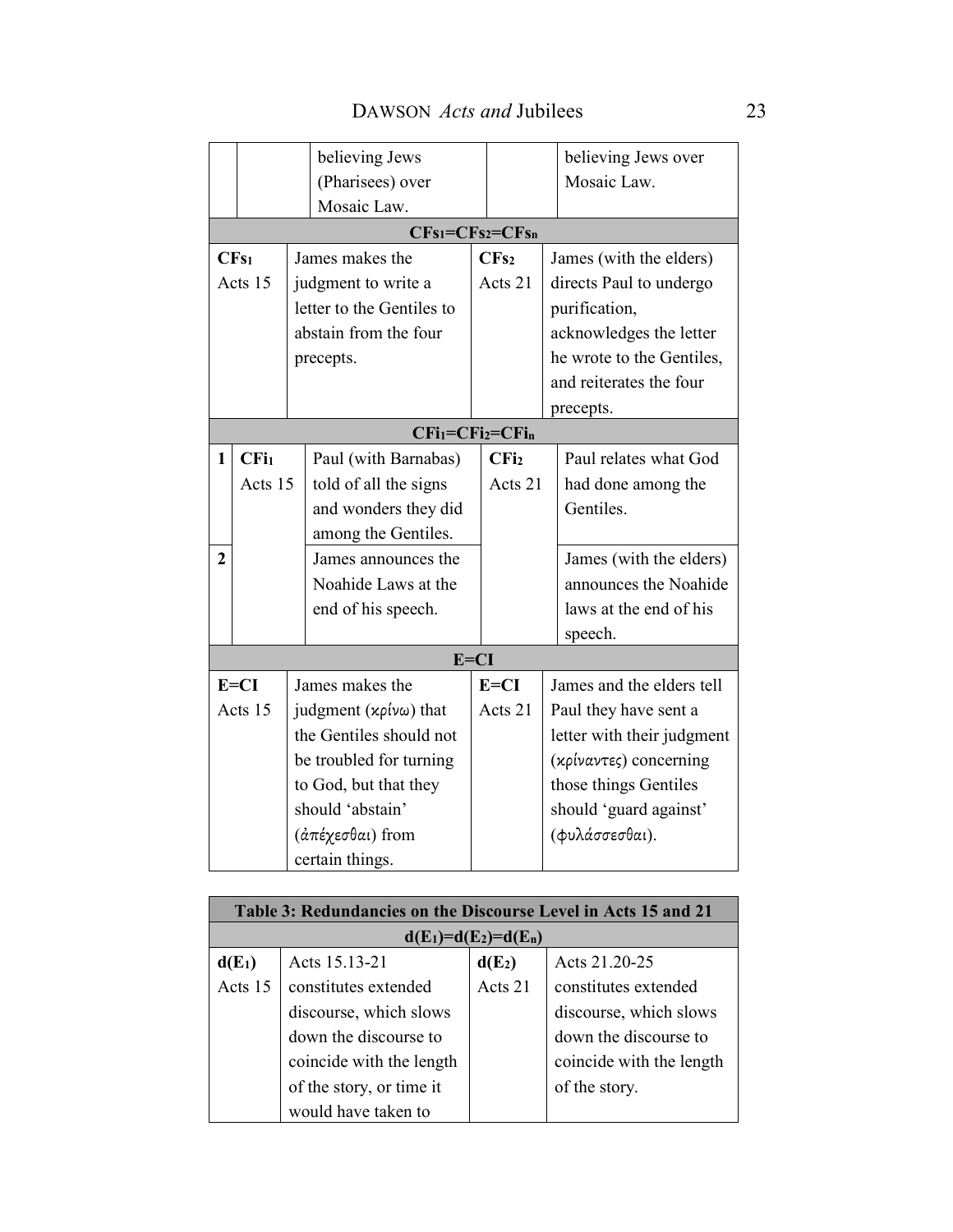|                |                  | believing Jews                    |                  | believing Jews over        |
|----------------|------------------|-----------------------------------|------------------|----------------------------|
|                |                  | (Pharisees) over                  |                  | Mosaic Law.                |
|                |                  | Mosaic Law.                       |                  |                            |
|                |                  | $CFs_1 = CFs_2 = CFs_n$           |                  |                            |
|                | CFs <sub>1</sub> | James makes the                   | CFs <sub>2</sub> | James (with the elders)    |
|                | Acts 15          | judgment to write a               | Acts 21          | directs Paul to undergo    |
|                |                  | letter to the Gentiles to         |                  | purification,              |
|                |                  | abstain from the four             |                  | acknowledges the letter    |
|                |                  | precepts.                         |                  | he wrote to the Gentiles,  |
|                |                  |                                   |                  | and reiterates the four    |
|                |                  |                                   |                  | precepts.                  |
|                |                  | $CFi1=CFi2=CFin$                  |                  |                            |
| 1              | CFi <sub>1</sub> | Paul (with Barnabas)              | CFi <sub>2</sub> | Paul relates what God      |
|                | Acts 15          | told of all the signs             | Acts 21          | had done among the         |
|                |                  | and wonders they did              |                  | Gentiles.                  |
|                |                  | among the Gentiles.               |                  |                            |
| $\overline{2}$ |                  | James announces the               |                  | James (with the elders)    |
|                |                  | Noahide Laws at the               |                  | announces the Noahide      |
|                |                  | end of his speech.                |                  | laws at the end of his     |
|                |                  |                                   |                  | speech.                    |
|                |                  | $E=CI$                            |                  |                            |
|                | $E=CI$           | James makes the                   | $E=CI$           | James and the elders tell  |
|                | Acts 15          | judgment $(x\rho\psi\omega)$ that | Acts 21          | Paul they have sent a      |
|                |                  | the Gentiles should not           |                  | letter with their judgment |
|                |                  | be troubled for turning           |                  | (κρίναντες) concerning     |
|                |                  | to God, but that they             |                  | those things Gentiles      |
|                |                  | should 'abstain'                  |                  | should 'guard against'     |
|                |                  | (άπέχεσθαι) from                  |                  | (φυλάσσεσθαι).             |
|                |                  | certain things.                   |                  |                            |

| Table 3: Redundancies on the Discourse Level in Acts 15 and 21 |                          |                        |                          |
|----------------------------------------------------------------|--------------------------|------------------------|--------------------------|
|                                                                |                          | $d(E_1)=d(E_2)=d(E_n)$ |                          |
| $d(E_1)$                                                       | Acts 15.13-21            | $d(E_2)$               | Acts 21.20-25            |
| Acts 15                                                        | constitutes extended     | Acts 21                | constitutes extended     |
|                                                                | discourse, which slows   |                        | discourse, which slows   |
|                                                                | down the discourse to    |                        | down the discourse to    |
|                                                                | coincide with the length |                        | coincide with the length |
|                                                                | of the story, or time it |                        | of the story.            |
|                                                                | would have taken to      |                        |                          |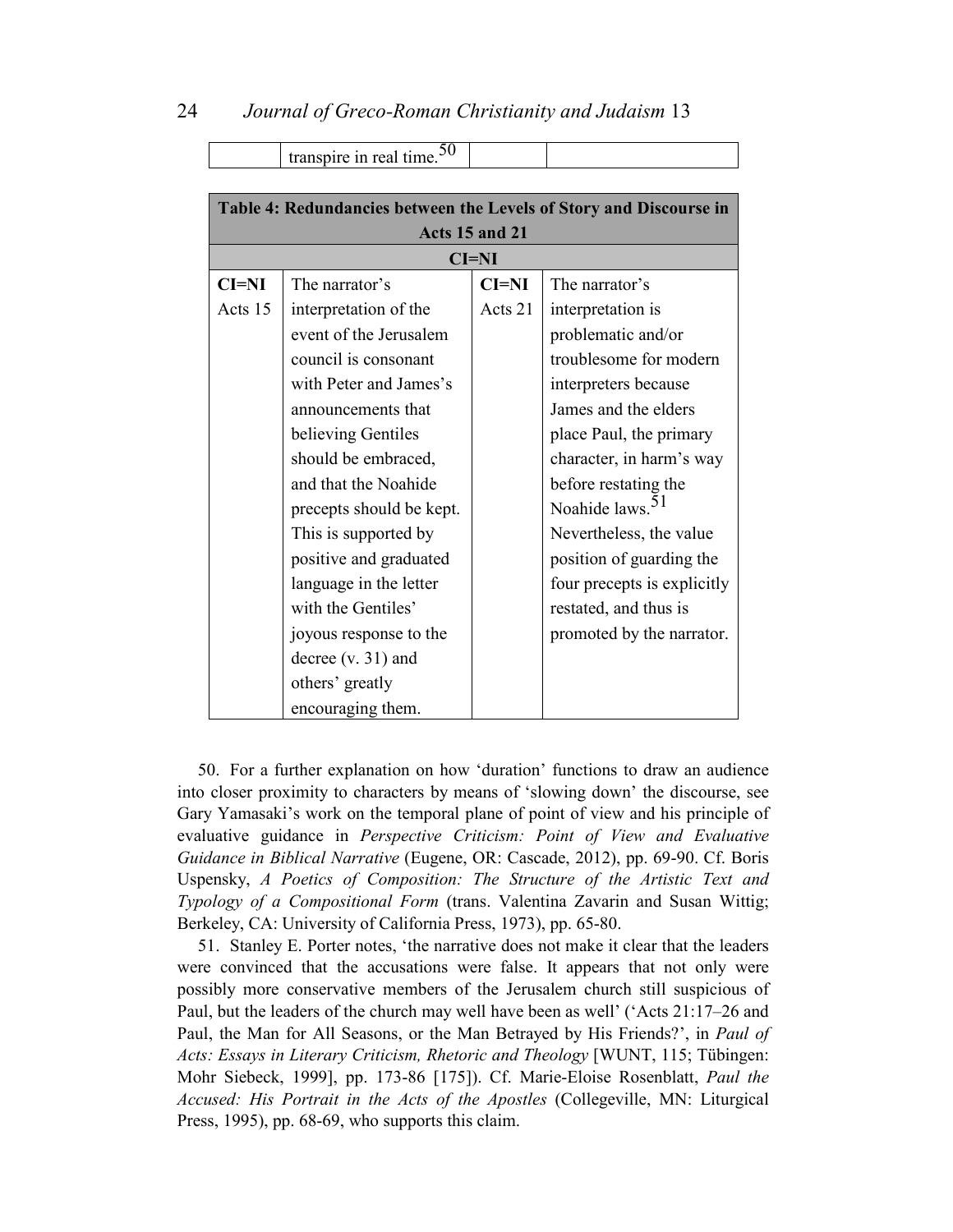|         | transpire in real time. $50$                                       |         |                             |
|---------|--------------------------------------------------------------------|---------|-----------------------------|
|         |                                                                    |         |                             |
|         | Table 4: Redundancies between the Levels of Story and Discourse in |         |                             |
|         | Acts 15 and 21                                                     |         |                             |
|         |                                                                    | $CI=NI$ |                             |
| $CI=NI$ | The narrator's                                                     | $CI=NI$ | The narrator's              |
| Acts 15 | interpretation of the                                              | Acts 21 | interpretation is           |
|         | event of the Jerusalem                                             |         | problematic and/or          |
|         | council is consonant                                               |         | troublesome for modern      |
|         | with Peter and James's                                             |         | interpreters because        |
|         | announcements that                                                 |         | James and the elders        |
|         | believing Gentiles                                                 |         | place Paul, the primary     |
|         | should be embraced,                                                |         | character, in harm's way    |
|         | and that the Noahide                                               |         | before restating the        |
|         | precepts should be kept.                                           |         | Noahide laws. <sup>51</sup> |
|         | This is supported by                                               |         | Nevertheless, the value     |
|         | positive and graduated                                             |         | position of guarding the    |
|         | language in the letter                                             |         | four precepts is explicitly |
|         | with the Gentiles'                                                 |         | restated, and thus is       |
|         | joyous response to the                                             |         | promoted by the narrator.   |
|         | decree $(v. 31)$ and                                               |         |                             |
|         | others' greatly                                                    |         |                             |
|         | encouraging them.                                                  |         |                             |

50. For a further explanation on how 'duration' functions to draw an audience into closer proximity to characters by means of 'slowing down' the discourse, see Gary Yamasaki's work on the temporal plane of point of view and his principle of evaluative guidance in *Perspective Criticism: Point of View and Evaluative Guidance in Biblical Narrative* (Eugene, OR: Cascade, 2012), pp. 69-90. Cf. Boris Uspensky, *A Poetics of Composition: The Structure of the Artistic Text and Typology of a Compositional Form* (trans. Valentina Zavarin and Susan Wittig; Berkeley, CA: University of California Press, 1973), pp. 65-80.

51. Stanley E. Porter notes, 'the narrative does not make it clear that the leaders were convinced that the accusations were false. It appears that not only were possibly more conservative members of the Jerusalem church still suspicious of Paul, but the leaders of the church may well have been as well' ('Acts 21:17–26 and Paul, the Man for All Seasons, or the Man Betrayed by His Friends?', in *Paul of Acts: Essays in Literary Criticism, Rhetoric and Theology* [WUNT, 115; Tübingen: Mohr Siebeck, 1999], pp. 173-86 [175]). Cf. Marie-Eloise Rosenblatt, *Paul the Accused: His Portrait in the Acts of the Apostles* (Collegeville, MN: Liturgical Press, 1995), pp. 68-69, who supports this claim.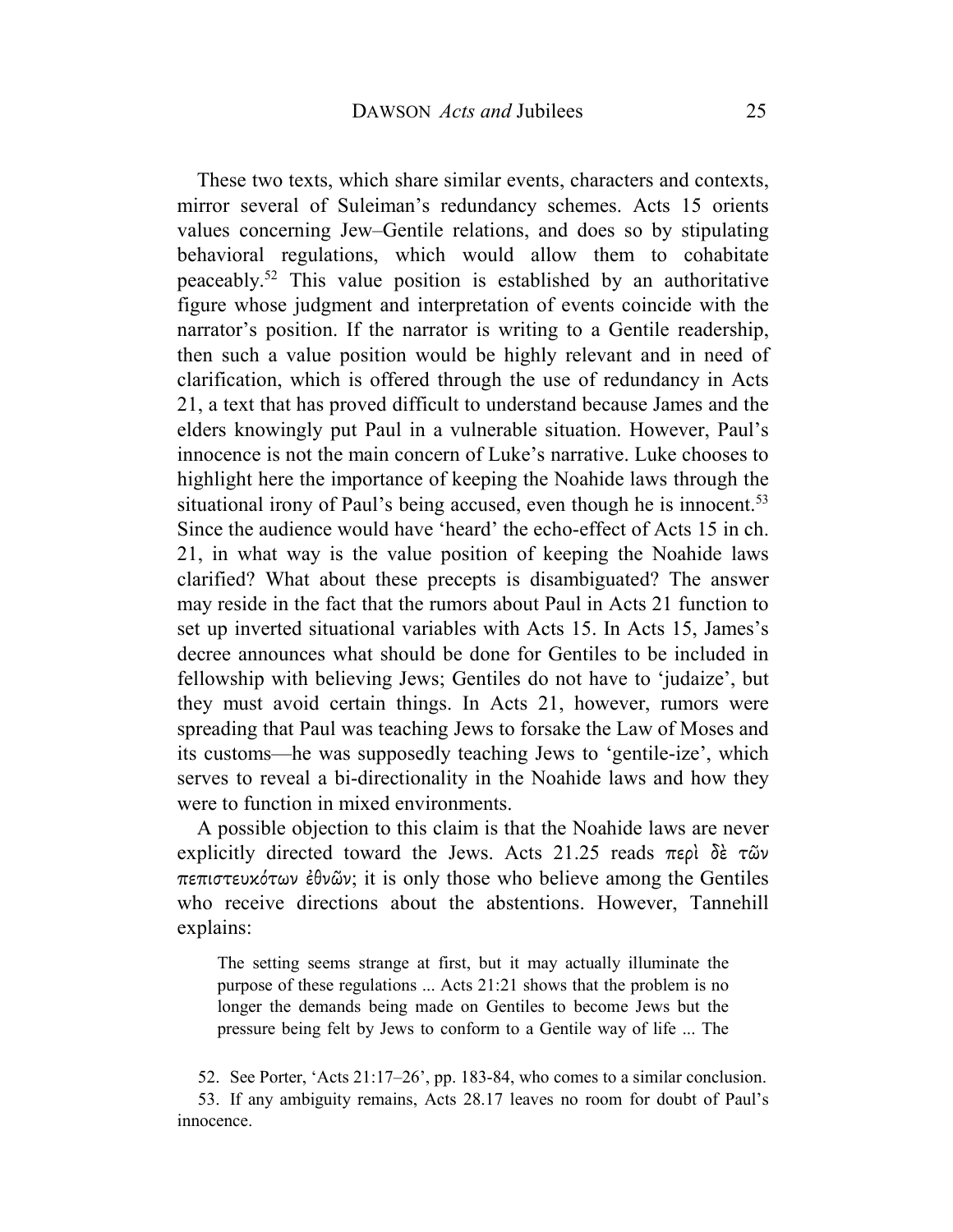These two texts, which share similar events, characters and contexts, mirror several of Suleiman's redundancy schemes. Acts 15 orients values concerning Jew–Gentile relations, and does so by stipulating behavioral regulations, which would allow them to cohabitate peaceably.<sup>52</sup> This value position is established by an authoritative figure whose judgment and interpretation of events coincide with the narrator's position. If the narrator is writing to a Gentile readership, then such a value position would be highly relevant and in need of clarification, which is offered through the use of redundancy in Acts 21, a text that has proved difficult to understand because James and the elders knowingly put Paul in a vulnerable situation. However, Paul's innocence is not the main concern of Luke's narrative. Luke chooses to highlight here the importance of keeping the Noahide laws through the situational irony of Paul's being accused, even though he is innocent.<sup>53</sup> Since the audience would have 'heard' the echo-effect of Acts 15 in ch. 21, in what way is the value position of keeping the Noahide laws clarified? What about these precepts is disambiguated? The answer may reside in the fact that the rumors about Paul in Acts 21 function to set up inverted situational variables with Acts 15. In Acts 15, James's decree announces what should be done for Gentiles to be included in fellowship with believing Jews; Gentiles do not have to 'judaize', but they must avoid certain things. In Acts 21, however, rumors were spreading that Paul was teaching Jews to forsake the Law of Moses and its customs—he was supposedly teaching Jews to 'gentile-ize', which serves to reveal a bi-directionality in the Noahide laws and how they were to function in mixed environments.

A possible objection to this claim is that the Noahide laws are never explicitly directed toward the Jews. Acts 21.25 reads περὶ δὲ τῶν πεπιστευκότων ἐθνῶν; it is only those who believe among the Gentiles who receive directions about the abstentions. However, Tannehill explains:

The setting seems strange at first, but it may actually illuminate the purpose of these regulations ... Acts 21:21 shows that the problem is no longer the demands being made on Gentiles to become Jews but the pressure being felt by Jews to conform to a Gentile way of life ... The

52. See Porter, 'Acts 21:17–26', pp. 183-84, who comes to a similar conclusion. 53. If any ambiguity remains, Acts 28.17 leaves no room for doubt of Paul's innocence.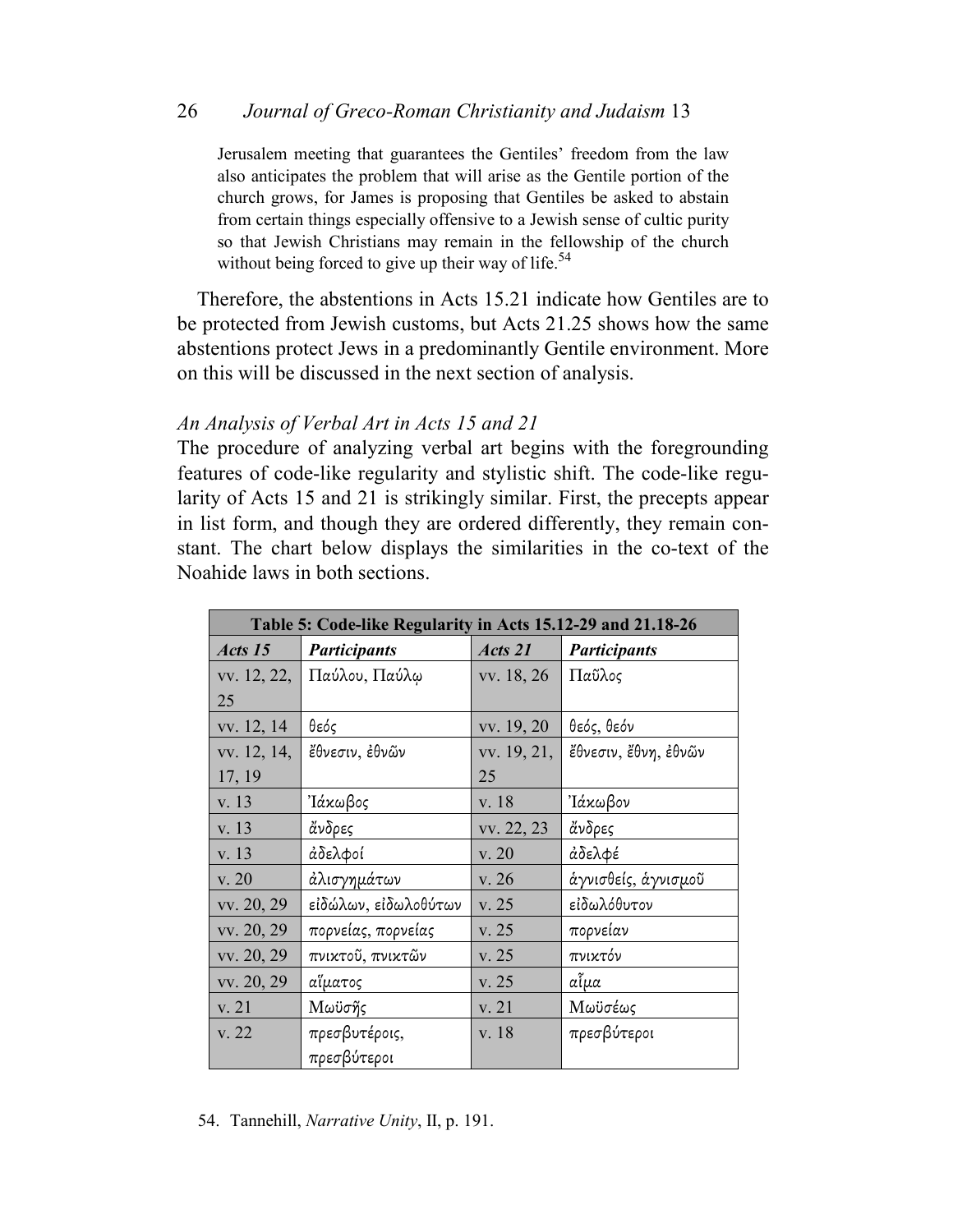Jerusalem meeting that guarantees the Gentiles' freedom from the law also anticipates the problem that will arise as the Gentile portion of the church grows, for James is proposing that Gentiles be asked to abstain from certain things especially offensive to a Jewish sense of cultic purity so that Jewish Christians may remain in the fellowship of the church without being forced to give up their way of life.<sup>54</sup>

Therefore, the abstentions in Acts 15.21 indicate how Gentiles are to be protected from Jewish customs, but Acts 21.25 shows how the same abstentions protect Jews in a predominantly Gentile environment. More on this will be discussed in the next section of analysis.

# *An Analysis of Verbal Art in Acts 15 and 21*

The procedure of analyzing verbal art begins with the foregrounding features of code-like regularity and stylistic shift. The code-like regularity of Acts 15 and 21 is strikingly similar. First, the precepts appear in list form, and though they are ordered differently, they remain constant. The chart below displays the similarities in the co-text of the Noahide laws in both sections.

| Table 5: Code-like Regularity in Acts 15.12-29 and 21.18-26 |                      |             |                      |
|-------------------------------------------------------------|----------------------|-------------|----------------------|
| Acts 15                                                     | <b>Participants</b>  | Acts 21     | <b>Participants</b>  |
| vv. 12, 22,                                                 | Παύλου, Παύλω        | vv. 18, 26  | Παῦλος               |
| 25                                                          |                      |             |                      |
| vv. 12, 14                                                  | θεός                 | vv. 19, 20  | θεός, θεόν           |
| vv. 12, 14,                                                 | ἔθνεσιν, ἐθνῶν       | vv. 19, 21, | ἔθνεσιν, ἔθνη, ἐθνῶν |
| 17, 19                                                      |                      | 25          |                      |
| v. 13                                                       | 'Ιάκωβος             | v. 18       | 'Ιάκωβον             |
| v. 13                                                       | άνδρες               | vv. 22, 23  | άνδρες               |
| v. 13                                                       | άδελφοί              | v. 20       | άδελφέ               |
| v. 20                                                       | άλισγημάτων          | v. 26       | άγνισθείς, άγνισμοῦ  |
| vv. 20, 29                                                  | εἰδώλων, εἰδωλοθύτων | v. 25       | εἰδωλόθυτον          |
| vv. 20, 29                                                  | πορνείας, πορνείας   | v. 25       | πορνείαν             |
| vv. 20, 29                                                  | πνικτοῦ, πνικτῶν     | v. 25       | πνικτόν              |
| vv. 20, 29                                                  | αἵματος              | v. 25       | αἷμα                 |
| v. 21                                                       | Μωϋσῆς               | v. 21       | Μωϋσέως              |
| v. 22                                                       | πρεσβυτέροις,        | v. 18       | πρεσβύτεροι          |
|                                                             | πρεσβύτεροι          |             |                      |

54. Tannehill, *Narrative Unity*, II, p. 191.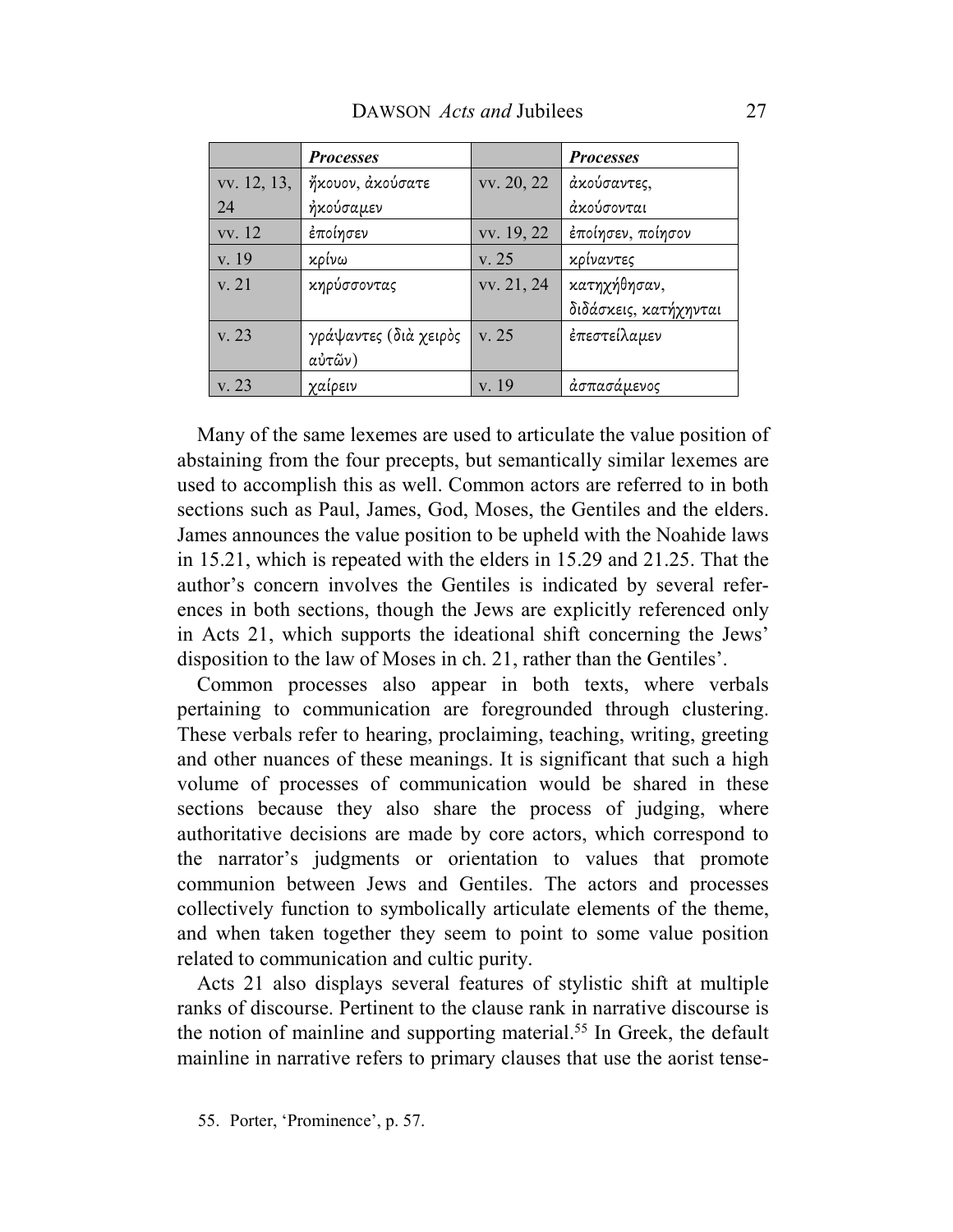|             | <b>Processes</b>      |            | <b>Processes</b>      |
|-------------|-----------------------|------------|-----------------------|
| vv. 12, 13, | ήκουον, άκούσατε      | vv. 20, 22 | άκούσαντες,           |
| -24         | ήκούσαμεν             |            | άκούσονται            |
| vv. 12      | έποίησεν              | vv. 19, 22 | έποίησεν, ποίησον     |
| v. 19       | κρίνω                 | v. 25      | κρίναντες             |
| v. 21       | κηρύσσοντας           | vv. 21, 24 | κατηχήθησαν,          |
|             |                       |            | διδάσκεις, κατήχηνται |
| v. 23       | γράψαντες (διὰ χειρὸς | v. 25      | ἐπεστείλαμεν          |
|             | αὐτῶν)                |            |                       |
| v. 23       | χαίρειν               | v. 19      | άσπασάμενος           |

Many of the same lexemes are used to articulate the value position of abstaining from the four precepts, but semantically similar lexemes are used to accomplish this as well. Common actors are referred to in both sections such as Paul, James, God, Moses, the Gentiles and the elders. James announces the value position to be upheld with the Noahide laws in 15.21, which is repeated with the elders in 15.29 and 21.25. That the author's concern involves the Gentiles is indicated by several references in both sections, though the Jews are explicitly referenced only in Acts 21, which supports the ideational shift concerning the Jews' disposition to the law of Moses in ch. 21, rather than the Gentiles'.

Common processes also appear in both texts, where verbals pertaining to communication are foregrounded through clustering. These verbals refer to hearing, proclaiming, teaching, writing, greeting and other nuances of these meanings. It is significant that such a high volume of processes of communication would be shared in these sections because they also share the process of judging, where authoritative decisions are made by core actors, which correspond to the narrator's judgments or orientation to values that promote communion between Jews and Gentiles. The actors and processes collectively function to symbolically articulate elements of the theme, and when taken together they seem to point to some value position related to communication and cultic purity.

Acts 21 also displays several features of stylistic shift at multiple ranks of discourse. Pertinent to the clause rank in narrative discourse is the notion of mainline and supporting material.<sup>55</sup> In Greek, the default mainline in narrative refers to primary clauses that use the aorist tense-

<sup>55.</sup> Porter, 'Prominence', p. 57.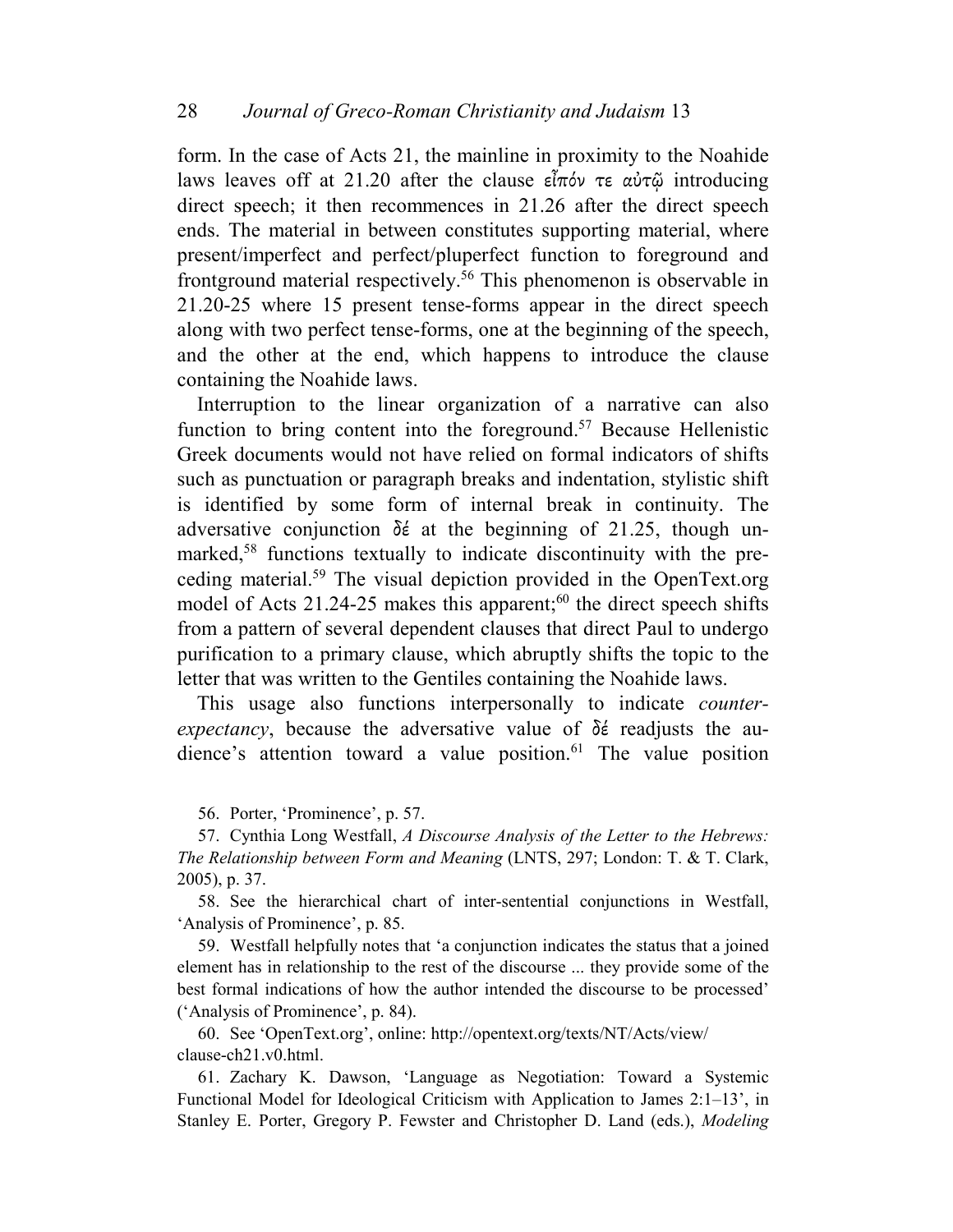form. In the case of Acts 21, the mainline in proximity to the Noahide laws leaves off at 21.20 after the clause εἶπόν τε αὐτῷ introducing direct speech; it then recommences in 21.26 after the direct speech ends. The material in between constitutes supporting material, where present/imperfect and perfect/pluperfect function to foreground and frontground material respectively.<sup>56</sup> This phenomenon is observable in 21.20-25 where 15 present tense-forms appear in the direct speech along with two perfect tense-forms, one at the beginning of the speech, and the other at the end, which happens to introduce the clause containing the Noahide laws.

Interruption to the linear organization of a narrative can also function to bring content into the foreground.<sup>57</sup> Because Hellenistic Greek documents would not have relied on formal indicators of shifts such as punctuation or paragraph breaks and indentation, stylistic shift is identified by some form of internal break in continuity. The adversative conjunction δέ at the beginning of 21.25, though unmarked,58 functions textually to indicate discontinuity with the preceding material.<sup>59</sup> The visual depiction provided in the OpenText.org model of Acts  $21.24$ -25 makes this apparent;<sup>60</sup> the direct speech shifts from a pattern of several dependent clauses that direct Paul to undergo purification to a primary clause, which abruptly shifts the topic to the letter that was written to the Gentiles containing the Noahide laws.

This usage also functions interpersonally to indicate *counterexpectancy*, because the adversative value of δέ readjusts the audience's attention toward a value position.<sup>61</sup> The value position

56. Porter, 'Prominence', p. 57.

57. Cynthia Long Westfall, *A Discourse Analysis of the Letter to the Hebrews: The Relationship between Form and Meaning* (LNTS, 297; London: T. & T. Clark, 2005), p. 37.

58. See the hierarchical chart of inter-sentential conjunctions in Westfall, 'Analysis of Prominence', p. 85.

59. Westfall helpfully notes that 'a conjunction indicates the status that a joined element has in relationship to the rest of the discourse ... they provide some of the best formal indications of how the author intended the discourse to be processed' ('Analysis of Prominence', p. 84).

60. See 'OpenText.org', online: http://opentext.org/texts/NT/Acts/view/ clause-ch21.v0.html.

61. Zachary K. Dawson, 'Language as Negotiation: Toward a Systemic Functional Model for Ideological Criticism with Application to James 2:1–13', in Stanley E. Porter, Gregory P. Fewster and Christopher D. Land (eds.), *Modeling*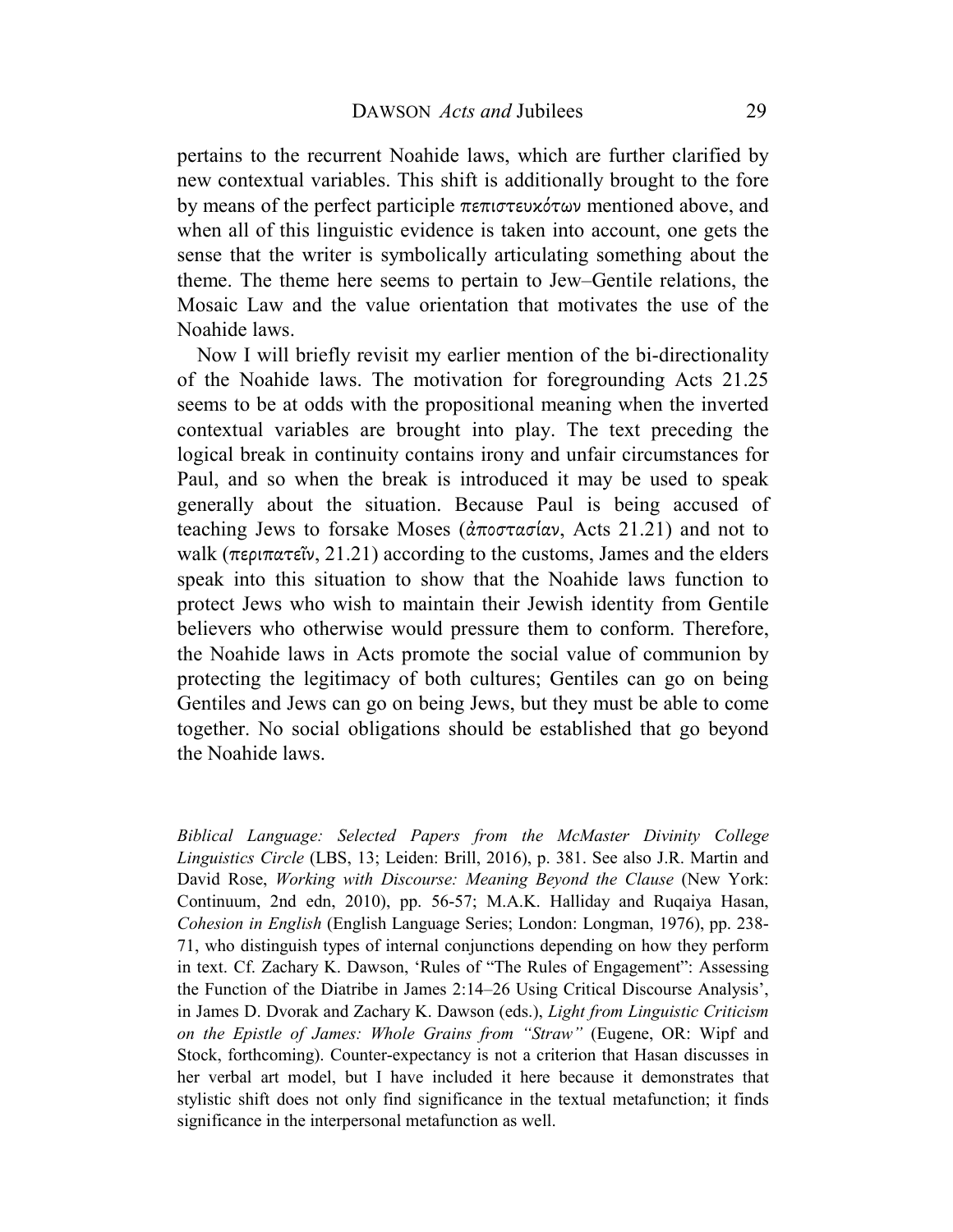pertains to the recurrent Noahide laws, which are further clarified by new contextual variables. This shift is additionally brought to the fore by means of the perfect participle πεπιστευκότων mentioned above, and when all of this linguistic evidence is taken into account, one gets the sense that the writer is symbolically articulating something about the theme. The theme here seems to pertain to Jew–Gentile relations, the Mosaic Law and the value orientation that motivates the use of the Noahide laws.

Now I will briefly revisit my earlier mention of the bi-directionality of the Noahide laws. The motivation for foregrounding Acts 21.25 seems to be at odds with the propositional meaning when the inverted contextual variables are brought into play. The text preceding the logical break in continuity contains irony and unfair circumstances for Paul, and so when the break is introduced it may be used to speak generally about the situation. Because Paul is being accused of teaching Jews to forsake Moses (ἀποστασίαν, Acts 21.21) and not to walk (περιπατεῖν, 21.21) according to the customs, James and the elders speak into this situation to show that the Noahide laws function to protect Jews who wish to maintain their Jewish identity from Gentile believers who otherwise would pressure them to conform. Therefore, the Noahide laws in Acts promote the social value of communion by protecting the legitimacy of both cultures; Gentiles can go on being Gentiles and Jews can go on being Jews, but they must be able to come together. No social obligations should be established that go beyond the Noahide laws.

*Biblical Language: Selected Papers from the McMaster Divinity College Linguistics Circle* (LBS, 13; Leiden: Brill, 2016), p. 381. See also J.R. Martin and David Rose, *Working with Discourse: Meaning Beyond the Clause* (New York: Continuum, 2nd edn, 2010), pp. 56-57; M.A.K. Halliday and Ruqaiya Hasan, *Cohesion in English* (English Language Series; London: Longman, 1976), pp. 238- 71, who distinguish types of internal conjunctions depending on how they perform in text. Cf. Zachary K. Dawson, 'Rules of "The Rules of Engagement": Assessing the Function of the Diatribe in James 2:14–26 Using Critical Discourse Analysis', in James D. Dvorak and Zachary K. Dawson (eds.), *Light from Linguistic Criticism on the Epistle of James: Whole Grains from "Straw"* (Eugene, OR: Wipf and Stock, forthcoming). Counter-expectancy is not a criterion that Hasan discusses in her verbal art model, but I have included it here because it demonstrates that stylistic shift does not only find significance in the textual metafunction; it finds significance in the interpersonal metafunction as well.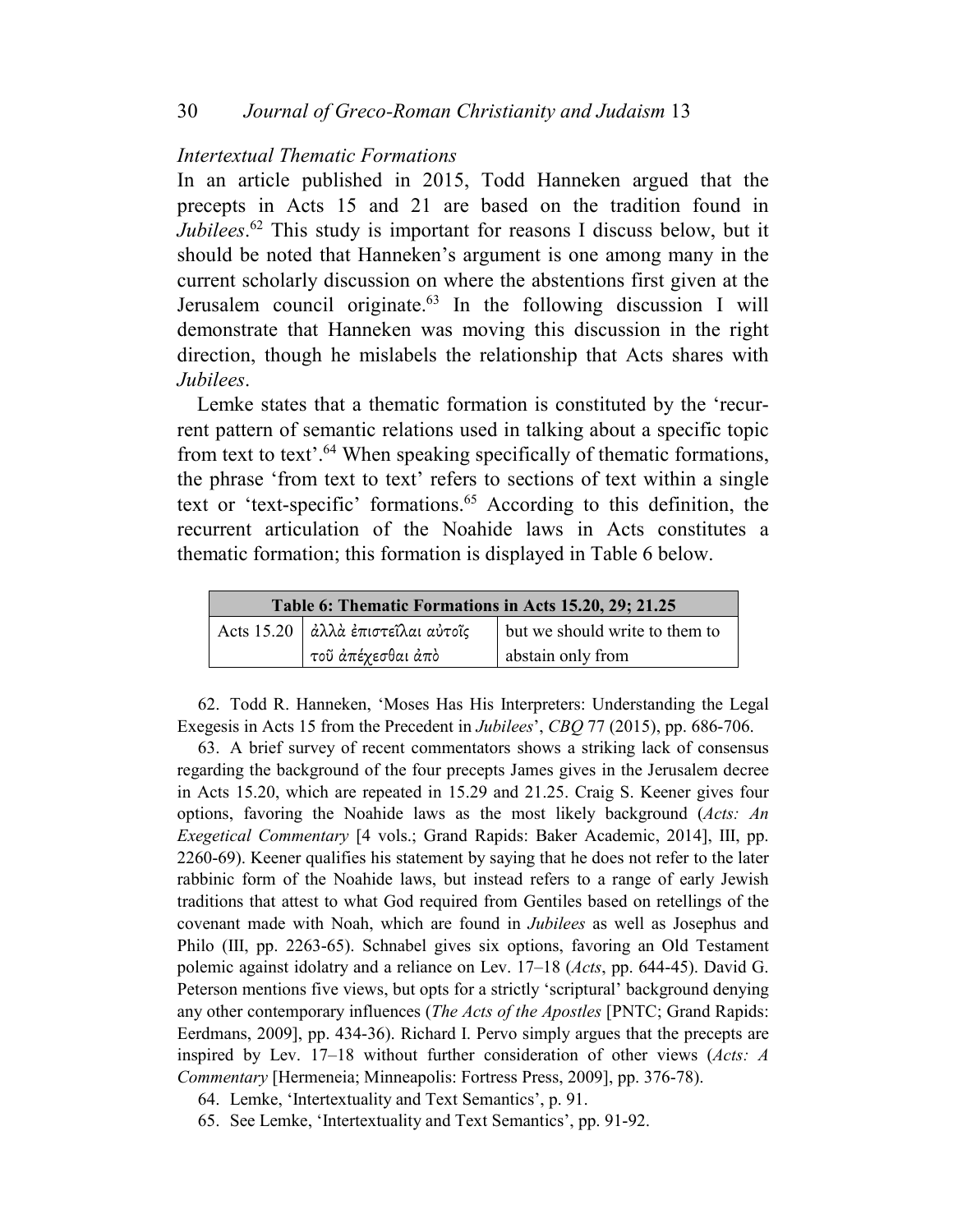### *Intertextual Thematic Formations*

In an article published in 2015, Todd Hanneken argued that the precepts in Acts 15 and 21 are based on the tradition found in *Jubilees*. <sup>62</sup> This study is important for reasons I discuss below, but it should be noted that Hanneken's argument is one among many in the current scholarly discussion on where the abstentions first given at the Jerusalem council originate.<sup>63</sup> In the following discussion I will demonstrate that Hanneken was moving this discussion in the right direction, though he mislabels the relationship that Acts shares with *Jubilees*.

Lemke states that a thematic formation is constituted by the 'recurrent pattern of semantic relations used in talking about a specific topic from text to text'.<sup>64</sup> When speaking specifically of thematic formations, the phrase 'from text to text' refers to sections of text within a single text or 'text-specific' formations.<sup>65</sup> According to this definition, the recurrent articulation of the Noahide laws in Acts constitutes a thematic formation; this formation is displayed in Table 6 below.

| Table 6: Thematic Formations in Acts 15.20, 29; 21.25 |                                     |                                |  |
|-------------------------------------------------------|-------------------------------------|--------------------------------|--|
|                                                       | Acts 15.20   άλλά έπιστεΐλαι αύτοΐς | but we should write to them to |  |
|                                                       | ι τοῦ ἀπέχεσθαι ἀπὸ                 | abstain only from              |  |

62. Todd R. Hanneken, 'Moses Has His Interpreters: Understanding the Legal Exegesis in Acts 15 from the Precedent in *Jubilees*', *CBQ* 77 (2015), pp. 686-706.

63. A brief survey of recent commentators shows a striking lack of consensus regarding the background of the four precepts James gives in the Jerusalem decree in Acts 15.20, which are repeated in 15.29 and 21.25. Craig S. Keener gives four options, favoring the Noahide laws as the most likely background (*Acts: An Exegetical Commentary* [4 vols.; Grand Rapids: Baker Academic, 2014], III, pp. 2260-69). Keener qualifies his statement by saying that he does not refer to the later rabbinic form of the Noahide laws, but instead refers to a range of early Jewish traditions that attest to what God required from Gentiles based on retellings of the covenant made with Noah, which are found in *Jubilees* as well as Josephus and Philo (III, pp. 2263-65). Schnabel gives six options, favoring an Old Testament polemic against idolatry and a reliance on Lev. 17–18 (*Acts*, pp. 644-45). David G. Peterson mentions five views, but opts for a strictly 'scriptural' background denying any other contemporary influences (*The Acts of the Apostles* [PNTC; Grand Rapids: Eerdmans, 2009], pp. 434-36). Richard I. Pervo simply argues that the precepts are inspired by Lev. 17–18 without further consideration of other views (*Acts: A Commentary* [Hermeneia; Minneapolis: Fortress Press, 2009], pp. 376-78).

64. Lemke, 'Intertextuality and Text Semantics', p. 91.

65. See Lemke, 'Intertextuality and Text Semantics', pp. 91-92.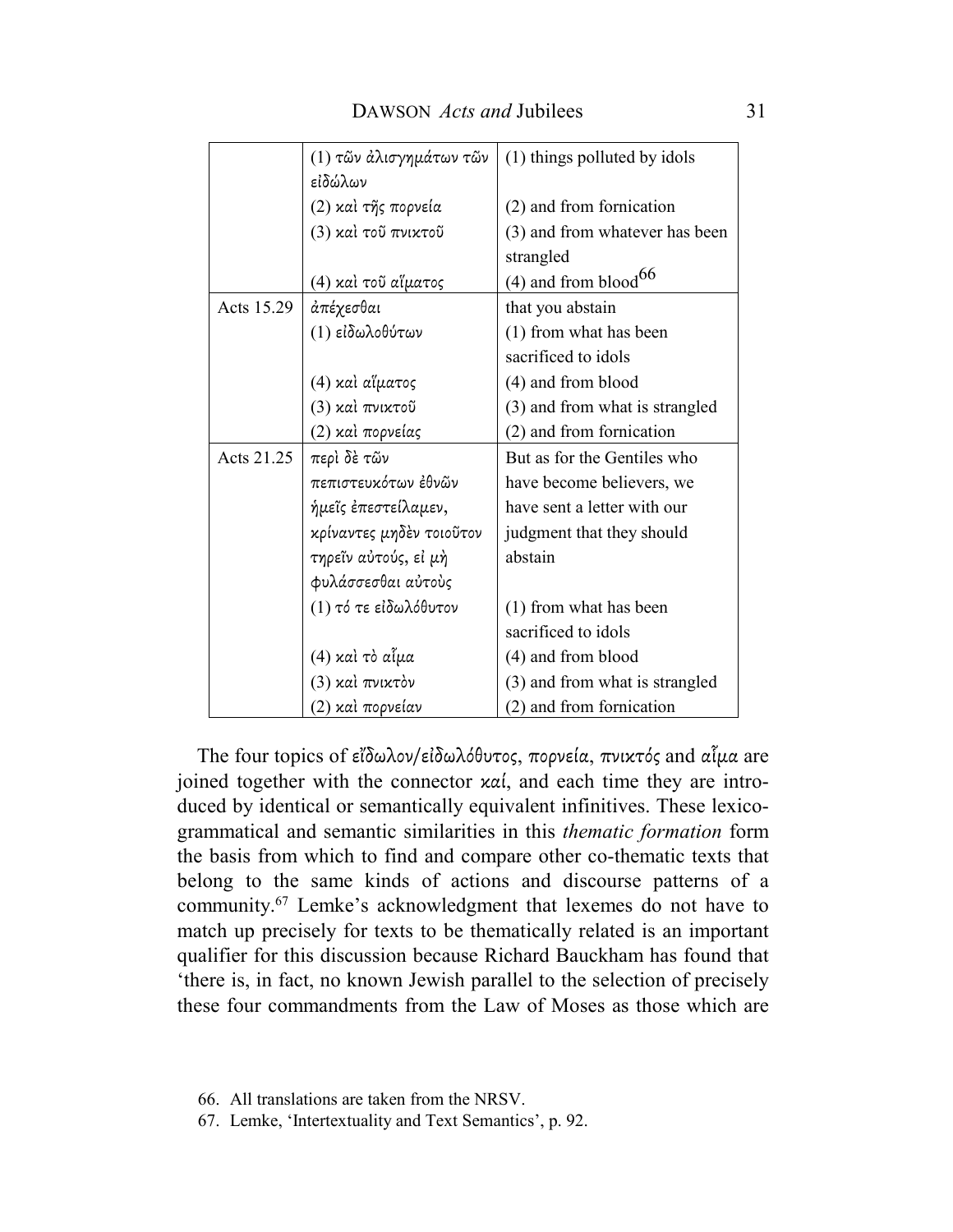|            | (1) τῶν ἀλισγημάτων τῶν  | (1) things polluted by idols       |
|------------|--------------------------|------------------------------------|
|            | εἰδώλων                  |                                    |
|            | (2) καὶ τῆς πορνεία      | (2) and from fornication           |
|            | (3) και τοῦ πνικτοῦ      | (3) and from whatever has been     |
|            |                          | strangled                          |
|            | (4) καὶ τοῦ αἴματος      | $(4)$ and from blood <sup>66</sup> |
| Acts 15.29 | άπέχεσθαι                | that you abstain                   |
|            | (1) εἰδωλοθύτων          | (1) from what has been             |
|            |                          | sacrificed to idols                |
|            | (4) καὶ αἵματος          | (4) and from blood                 |
|            | (3) καὶ πνικτοῦ          | (3) and from what is strangled     |
|            | (2) καὶ πορνείας         | (2) and from fornication           |
| Acts 21.25 | περὶ δὲ τῶν              | But as for the Gentiles who        |
|            | πεπιστευκότων ἐθνῶν      | have become believers, we          |
|            | ήμεῖς ἐπεστείλαμεν,      | have sent a letter with our        |
|            | κρίναντες μηδέν τοιοῦτον | judgment that they should          |
|            | τηρεῖν αὐτούς, εἰ μὴ     | abstain                            |
|            | φυλάσσεσθαι αύτους       |                                    |
|            | (1) τό τε είδωλόθυτον    | (1) from what has been             |
|            |                          | sacrificed to idols                |
|            | (4) καὶ τὸ αἶμα          | (4) and from blood                 |
|            | (3) καὶ πνικτὸν          | (3) and from what is strangled     |
|            | (2) καὶ πορνείαν         | (2) and from fornication           |

The four topics of εἴδωλον/εἰδωλόθυτος, πορνεία, πνικτός and αἷµα are joined together with the connector καί, and each time they are introduced by identical or semantically equivalent infinitives. These lexicogrammatical and semantic similarities in this *thematic formation* form the basis from which to find and compare other co-thematic texts that belong to the same kinds of actions and discourse patterns of a community.<sup>67</sup> Lemke's acknowledgment that lexemes do not have to match up precisely for texts to be thematically related is an important qualifier for this discussion because Richard Bauckham has found that 'there is, in fact, no known Jewish parallel to the selection of precisely these four commandments from the Law of Moses as those which are

66. All translations are taken from the NRSV.

67. Lemke, 'Intertextuality and Text Semantics', p. 92.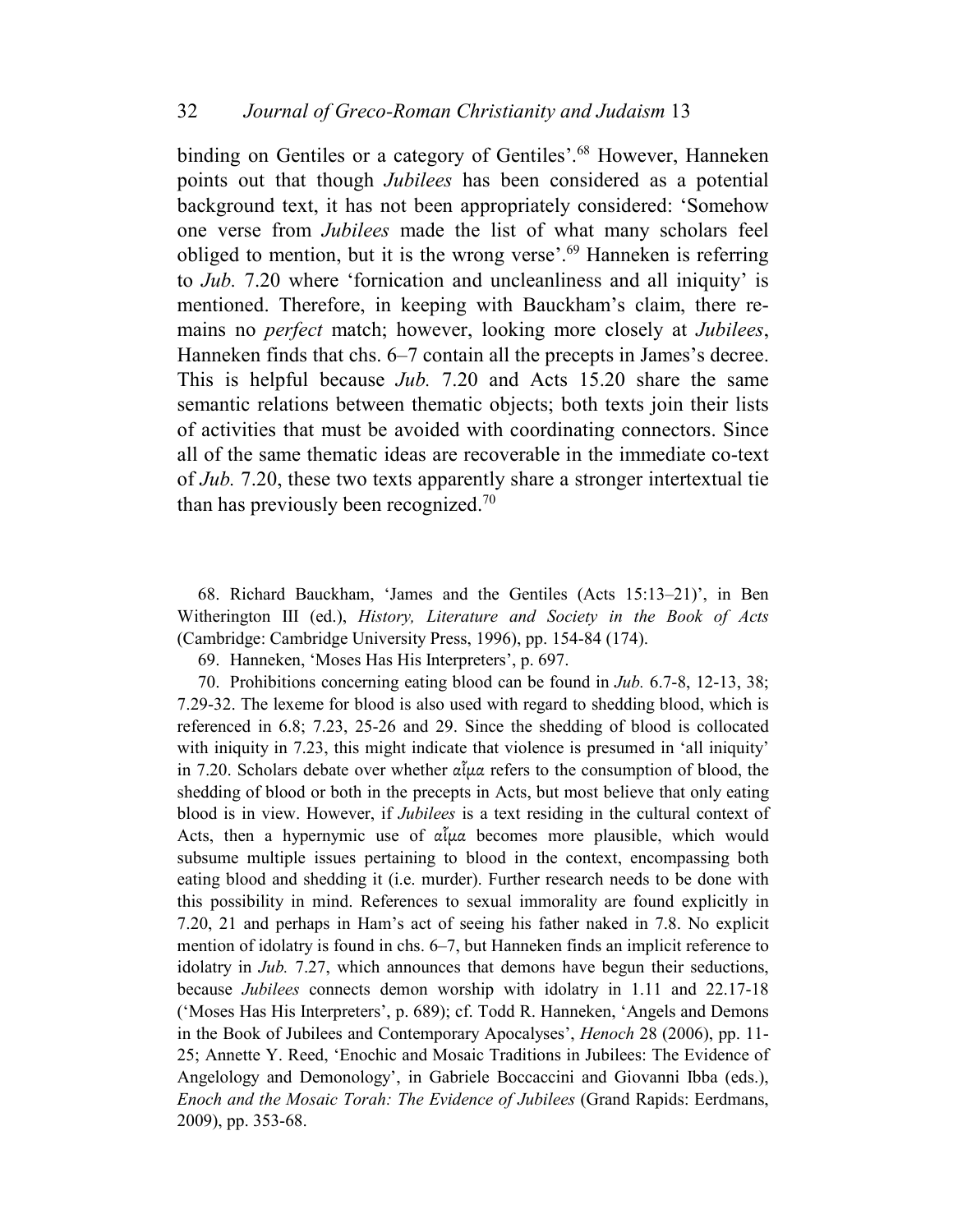binding on Gentiles or a category of Gentiles'.<sup>68</sup> However, Hanneken points out that though *Jubilees* has been considered as a potential background text, it has not been appropriately considered: 'Somehow one verse from *Jubilees* made the list of what many scholars feel obliged to mention, but it is the wrong verse'.<sup>69</sup> Hanneken is referring to *Jub.* 7.20 where 'fornication and uncleanliness and all iniquity' is mentioned. Therefore, in keeping with Bauckham's claim, there remains no *perfect* match; however, looking more closely at *Jubilees*, Hanneken finds that chs. 6–7 contain all the precepts in James's decree. This is helpful because *Jub.* 7.20 and Acts 15.20 share the same semantic relations between thematic objects; both texts join their lists of activities that must be avoided with coordinating connectors. Since all of the same thematic ideas are recoverable in the immediate co-text of *Jub.* 7.20, these two texts apparently share a stronger intertextual tie than has previously been recognized.<sup>70</sup>

68. Richard Bauckham, 'James and the Gentiles (Acts 15:13–21)', in Ben Witherington III (ed.), *History, Literature and Society in the Book of Acts* (Cambridge: Cambridge University Press, 1996), pp. 154-84 (174).

69. Hanneken, 'Moses Has His Interpreters', p. 697.

70. Prohibitions concerning eating blood can be found in *Jub.* 6.7-8, 12-13, 38; 7.29-32. The lexeme for blood is also used with regard to shedding blood, which is referenced in 6.8; 7.23, 25-26 and 29. Since the shedding of blood is collocated with iniquity in 7.23, this might indicate that violence is presumed in 'all iniquity' in 7.20. Scholars debate over whether αἷµα refers to the consumption of blood, the shedding of blood or both in the precepts in Acts, but most believe that only eating blood is in view. However, if *Jubilees* is a text residing in the cultural context of Acts, then a hypernymic use of  $\alpha\tilde{\mu}\alpha$  becomes more plausible, which would subsume multiple issues pertaining to blood in the context, encompassing both eating blood and shedding it (i.e. murder). Further research needs to be done with this possibility in mind. References to sexual immorality are found explicitly in 7.20, 21 and perhaps in Ham's act of seeing his father naked in 7.8. No explicit mention of idolatry is found in chs. 6–7, but Hanneken finds an implicit reference to idolatry in *Jub.* 7.27, which announces that demons have begun their seductions, because *Jubilees* connects demon worship with idolatry in 1.11 and 22.17-18 ('Moses Has His Interpreters', p. 689); cf. Todd R. Hanneken, 'Angels and Demons in the Book of Jubilees and Contemporary Apocalyses', *Henoch* 28 (2006), pp. 11- 25; Annette Y. Reed, 'Enochic and Mosaic Traditions in Jubilees: The Evidence of Angelology and Demonology', in Gabriele Boccaccini and Giovanni Ibba (eds.), *Enoch and the Mosaic Torah: The Evidence of Jubilees* (Grand Rapids: Eerdmans, 2009), pp. 353-68.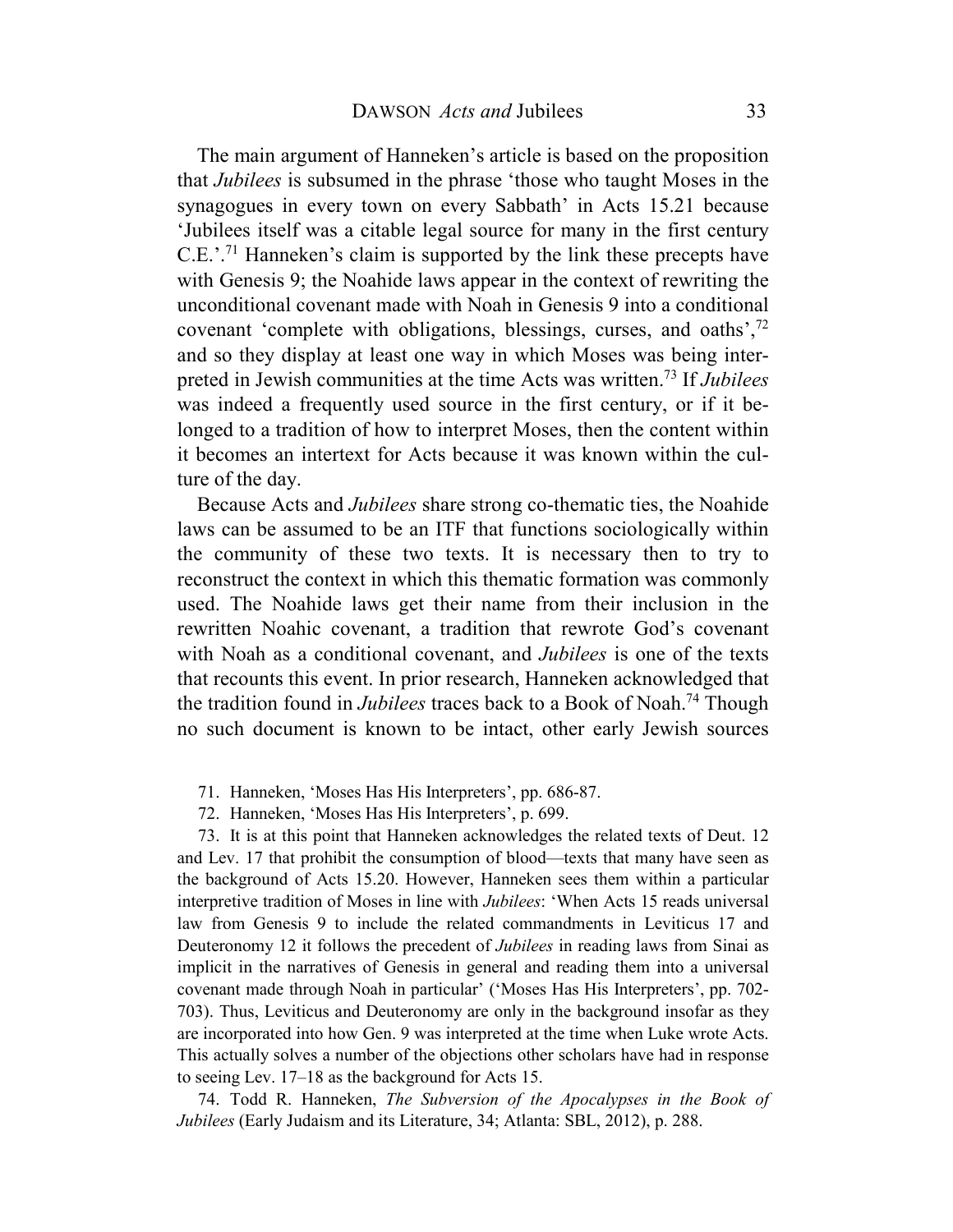The main argument of Hanneken's article is based on the proposition that *Jubilees* is subsumed in the phrase 'those who taught Moses in the synagogues in every town on every Sabbath' in Acts 15.21 because 'Jubilees itself was a citable legal source for many in the first century C.E.'.<sup>71</sup> Hanneken's claim is supported by the link these precepts have with Genesis 9; the Noahide laws appear in the context of rewriting the unconditional covenant made with Noah in Genesis 9 into a conditional covenant 'complete with obligations, blessings, curses, and oaths',<sup>72</sup> and so they display at least one way in which Moses was being interpreted in Jewish communities at the time Acts was written.<sup>73</sup> If *Jubilees* was indeed a frequently used source in the first century, or if it belonged to a tradition of how to interpret Moses, then the content within it becomes an intertext for Acts because it was known within the culture of the day.

Because Acts and *Jubilees* share strong co-thematic ties, the Noahide laws can be assumed to be an ITF that functions sociologically within the community of these two texts. It is necessary then to try to reconstruct the context in which this thematic formation was commonly used. The Noahide laws get their name from their inclusion in the rewritten Noahic covenant, a tradition that rewrote God's covenant with Noah as a conditional covenant, and *Jubilees* is one of the texts that recounts this event. In prior research, Hanneken acknowledged that the tradition found in *Jubilees* traces back to a Book of Noah.<sup>74</sup> Though no such document is known to be intact, other early Jewish sources

71. Hanneken, 'Moses Has His Interpreters', pp. 686-87.

72. Hanneken, 'Moses Has His Interpreters', p. 699.

73. It is at this point that Hanneken acknowledges the related texts of Deut. 12 and Lev. 17 that prohibit the consumption of blood—texts that many have seen as the background of Acts 15.20. However, Hanneken sees them within a particular interpretive tradition of Moses in line with *Jubilees*: 'When Acts 15 reads universal law from Genesis 9 to include the related commandments in Leviticus 17 and Deuteronomy 12 it follows the precedent of *Jubilees* in reading laws from Sinai as implicit in the narratives of Genesis in general and reading them into a universal covenant made through Noah in particular' ('Moses Has His Interpreters', pp. 702- 703). Thus, Leviticus and Deuteronomy are only in the background insofar as they are incorporated into how Gen. 9 was interpreted at the time when Luke wrote Acts. This actually solves a number of the objections other scholars have had in response to seeing Lev. 17–18 as the background for Acts 15.

74. Todd R. Hanneken, *The Subversion of the Apocalypses in the Book of Jubilees* (Early Judaism and its Literature, 34; Atlanta: SBL, 2012), p. 288.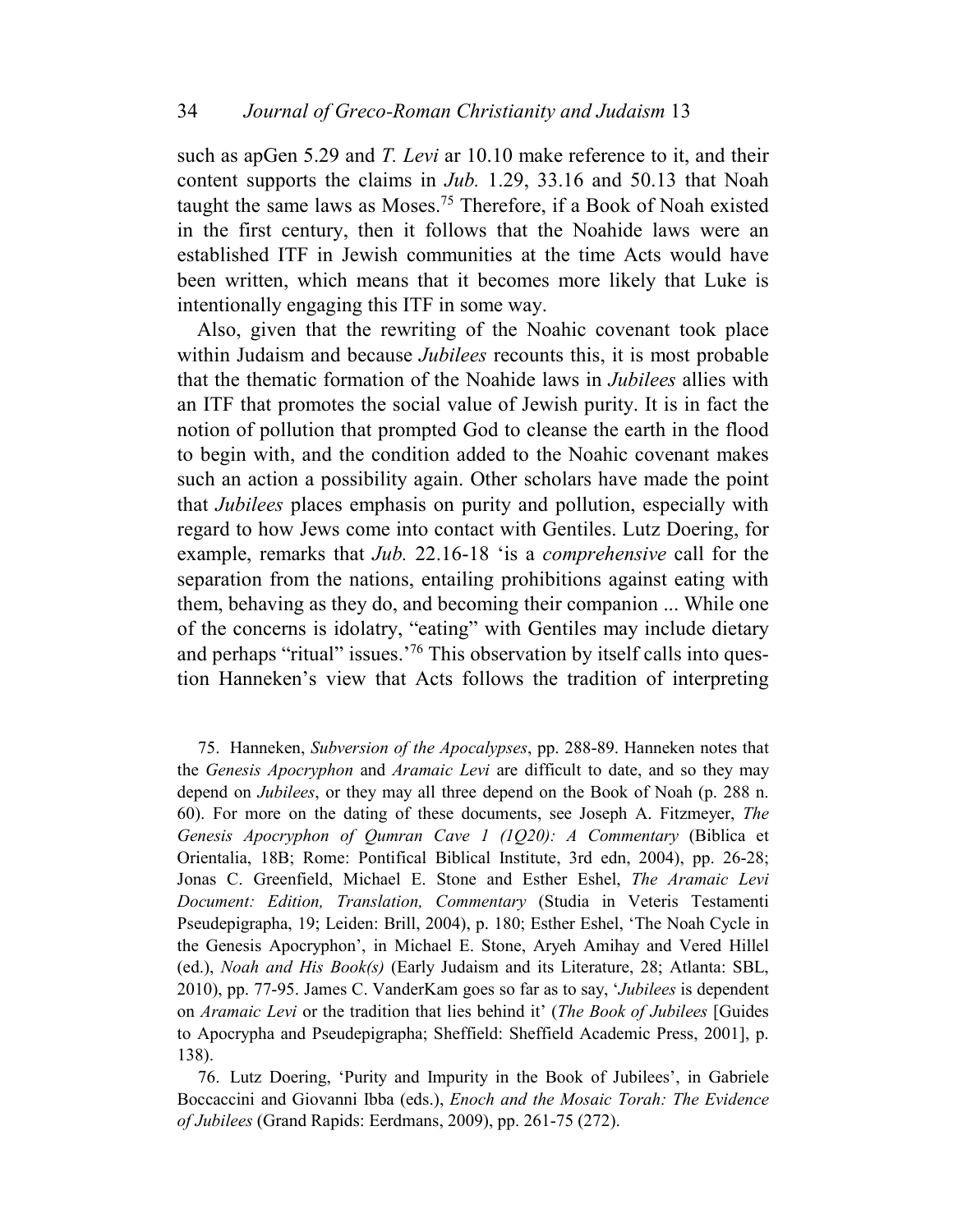such as apGen 5.29 and *T. Levi* ar 10.10 make reference to it, and their content supports the claims in *Jub.* 1.29, 33.16 and 50.13 that Noah taught the same laws as Moses.<sup>75</sup> Therefore, if a Book of Noah existed in the first century, then it follows that the Noahide laws were an established ITF in Jewish communities at the time Acts would have been written, which means that it becomes more likely that Luke is intentionally engaging this ITF in some way.

Also, given that the rewriting of the Noahic covenant took place within Judaism and because *Jubilees* recounts this, it is most probable that the thematic formation of the Noahide laws in *Jubilees* allies with an ITF that promotes the social value of Jewish purity. It is in fact the notion of pollution that prompted God to cleanse the earth in the flood to begin with, and the condition added to the Noahic covenant makes such an action a possibility again. Other scholars have made the point that *Jubilees* places emphasis on purity and pollution, especially with regard to how Jews come into contact with Gentiles. Lutz Doering, for example, remarks that *Jub.* 22.16-18 'is a *comprehensive* call for the separation from the nations, entailing prohibitions against eating with them, behaving as they do, and becoming their companion ... While one of the concerns is idolatry, "eating" with Gentiles may include dietary and perhaps "ritual" issues.<sup>'76</sup> This observation by itself calls into question Hanneken's view that Acts follows the tradition of interpreting

75. Hanneken, *Subversion of the Apocalypses*, pp. 288-89. Hanneken notes that the *Genesis Apocryphon* and *Aramaic Levi* are difficult to date, and so they may depend on *Jubilees*, or they may all three depend on the Book of Noah (p. 288 n. 60). For more on the dating of these documents, see Joseph A. Fitzmeyer, *The Genesis Apocryphon of Qumran Cave 1 (1Q20): A Commentary* (Biblica et Orientalia, 18B; Rome: Pontifical Biblical Institute, 3rd edn, 2004), pp. 26-28; Jonas C. Greenfield, Michael E. Stone and Esther Eshel, *The Aramaic Levi Document: Edition, Translation, Commentary* (Studia in Veteris Testamenti Pseudepigrapha, 19; Leiden: Brill, 2004), p. 180; Esther Eshel, 'The Noah Cycle in the Genesis Apocryphon', in Michael E. Stone, Aryeh Amihay and Vered Hillel (ed.), *Noah and His Book(s)* (Early Judaism and its Literature, 28; Atlanta: SBL, 2010), pp. 77-95. James C. VanderKam goes so far as to say, '*Jubilees* is dependent on *Aramaic Levi* or the tradition that lies behind it' (*The Book of Jubilees* [Guides to Apocrypha and Pseudepigrapha; Sheffield: Sheffield Academic Press, 2001], p. 138).

76. Lutz Doering, 'Purity and Impurity in the Book of Jubilees', in Gabriele Boccaccini and Giovanni Ibba (eds.), *Enoch and the Mosaic Torah: The Evidence of Jubilees* (Grand Rapids: Eerdmans, 2009), pp. 261-75 (272).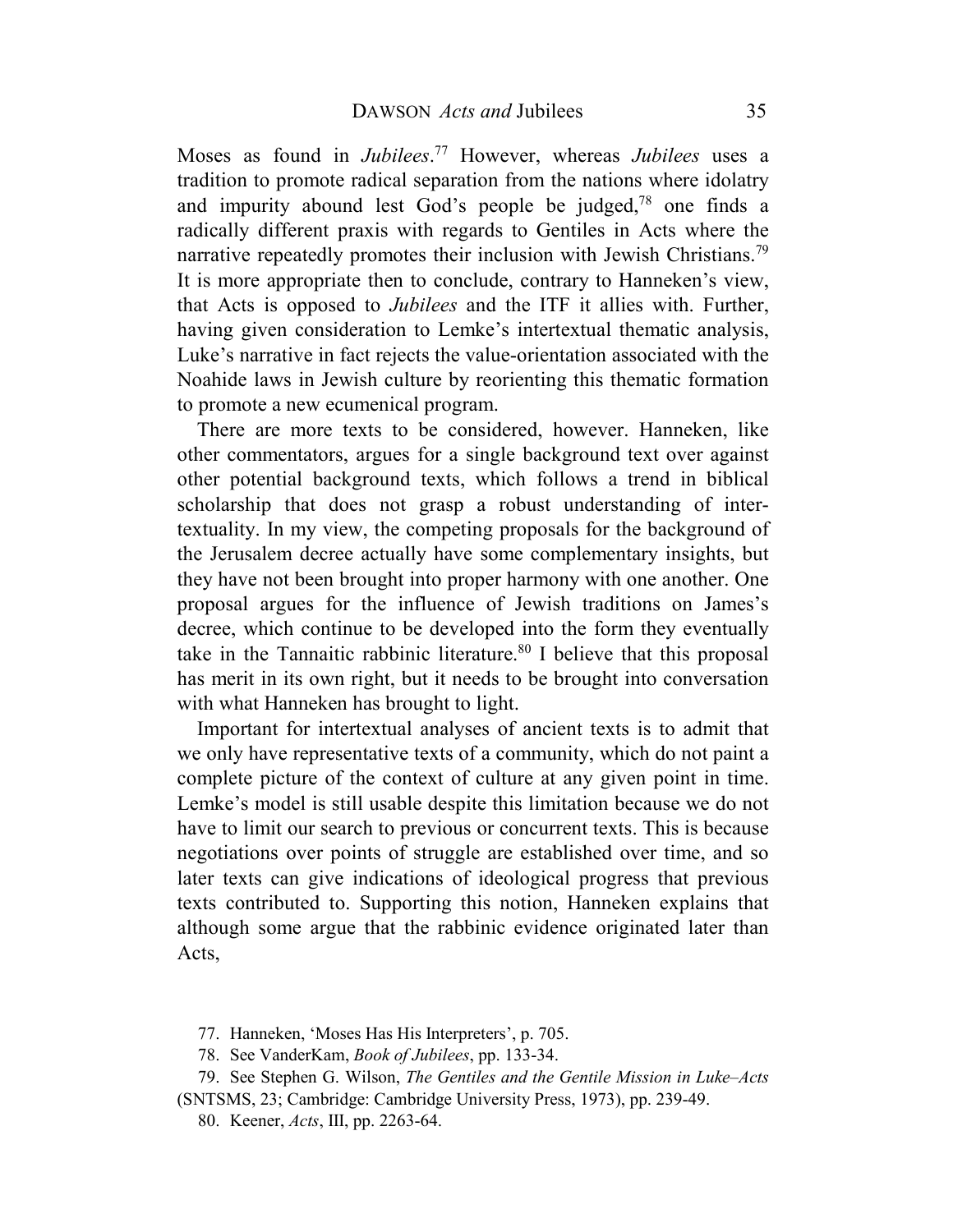Moses as found in *Jubilees*. <sup>77</sup> However, whereas *Jubilees* uses a tradition to promote radical separation from the nations where idolatry and impurity abound lest God's people be judged, $78$  one finds a radically different praxis with regards to Gentiles in Acts where the narrative repeatedly promotes their inclusion with Jewish Christians.<sup>79</sup> It is more appropriate then to conclude, contrary to Hanneken's view, that Acts is opposed to *Jubilees* and the ITF it allies with. Further, having given consideration to Lemke's intertextual thematic analysis, Luke's narrative in fact rejects the value-orientation associated with the Noahide laws in Jewish culture by reorienting this thematic formation to promote a new ecumenical program.

There are more texts to be considered, however. Hanneken, like other commentators, argues for a single background text over against other potential background texts, which follows a trend in biblical scholarship that does not grasp a robust understanding of intertextuality. In my view, the competing proposals for the background of the Jerusalem decree actually have some complementary insights, but they have not been brought into proper harmony with one another. One proposal argues for the influence of Jewish traditions on James's decree, which continue to be developed into the form they eventually take in the Tannaitic rabbinic literature.<sup>80</sup> I believe that this proposal has merit in its own right, but it needs to be brought into conversation with what Hanneken has brought to light.

Important for intertextual analyses of ancient texts is to admit that we only have representative texts of a community, which do not paint a complete picture of the context of culture at any given point in time. Lemke's model is still usable despite this limitation because we do not have to limit our search to previous or concurrent texts. This is because negotiations over points of struggle are established over time, and so later texts can give indications of ideological progress that previous texts contributed to. Supporting this notion, Hanneken explains that although some argue that the rabbinic evidence originated later than Acts,

- 77. Hanneken, 'Moses Has His Interpreters', p. 705.
- 78. See VanderKam, *Book of Jubilees*, pp. 133-34.
- 79. See Stephen G. Wilson, *The Gentiles and the Gentile Mission in Luke–Acts* (SNTSMS, 23; Cambridge: Cambridge University Press, 1973), pp. 239-49.
	- 80. Keener, *Acts*, III, pp. 2263-64.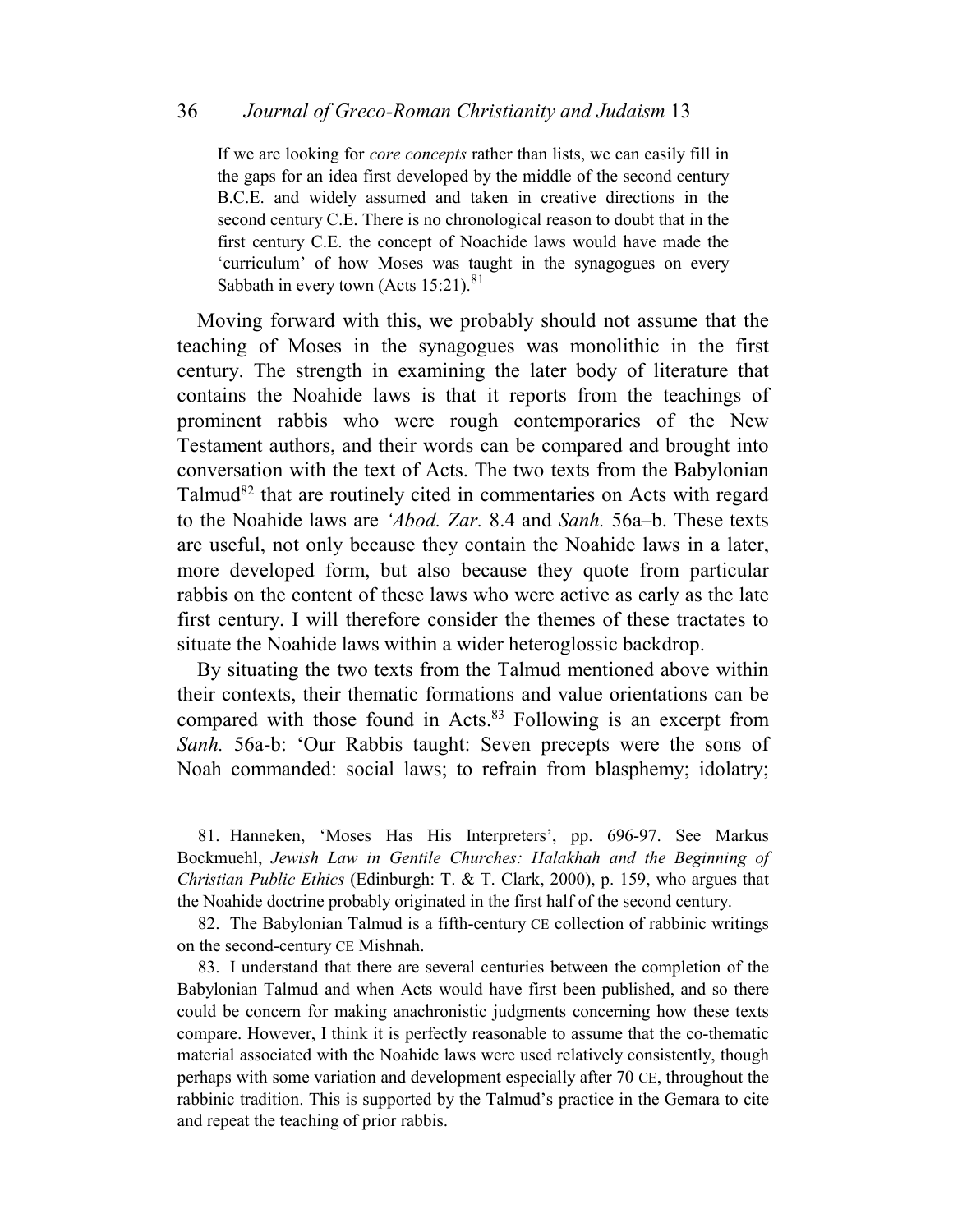If we are looking for *core concepts* rather than lists, we can easily fill in the gaps for an idea first developed by the middle of the second century B.C.E. and widely assumed and taken in creative directions in the second century C.E. There is no chronological reason to doubt that in the first century C.E. the concept of Noachide laws would have made the 'curriculum' of how Moses was taught in the synagogues on every Sabbath in every town (Acts  $15:21$ ).<sup>81</sup>

Moving forward with this, we probably should not assume that the teaching of Moses in the synagogues was monolithic in the first century. The strength in examining the later body of literature that contains the Noahide laws is that it reports from the teachings of prominent rabbis who were rough contemporaries of the New Testament authors, and their words can be compared and brought into conversation with the text of Acts. The two texts from the Babylonian Talmud $82$  that are routinely cited in commentaries on Acts with regard to the Noahide laws are *'Abod. Zar.* 8.4 and *Sanh.* 56a–b. These texts are useful, not only because they contain the Noahide laws in a later, more developed form, but also because they quote from particular rabbis on the content of these laws who were active as early as the late first century. I will therefore consider the themes of these tractates to situate the Noahide laws within a wider heteroglossic backdrop.

By situating the two texts from the Talmud mentioned above within their contexts, their thematic formations and value orientations can be compared with those found in Acts.<sup>83</sup> Following is an excerpt from *Sanh.* 56a-b: 'Our Rabbis taught: Seven precepts were the sons of Noah commanded: social laws; to refrain from blasphemy; idolatry;

81. Hanneken, 'Moses Has His Interpreters', pp. 696-97. See Markus Bockmuehl, *Jewish Law in Gentile Churches: Halakhah and the Beginning of Christian Public Ethics* (Edinburgh: T. & T. Clark, 2000), p. 159, who argues that the Noahide doctrine probably originated in the first half of the second century.

82. The Babylonian Talmud is a fifth-century CE collection of rabbinic writings on the second-century CE Mishnah.

83. I understand that there are several centuries between the completion of the Babylonian Talmud and when Acts would have first been published, and so there could be concern for making anachronistic judgments concerning how these texts compare. However, I think it is perfectly reasonable to assume that the co-thematic material associated with the Noahide laws were used relatively consistently, though perhaps with some variation and development especially after 70 CE, throughout the rabbinic tradition. This is supported by the Talmud's practice in the Gemara to cite and repeat the teaching of prior rabbis.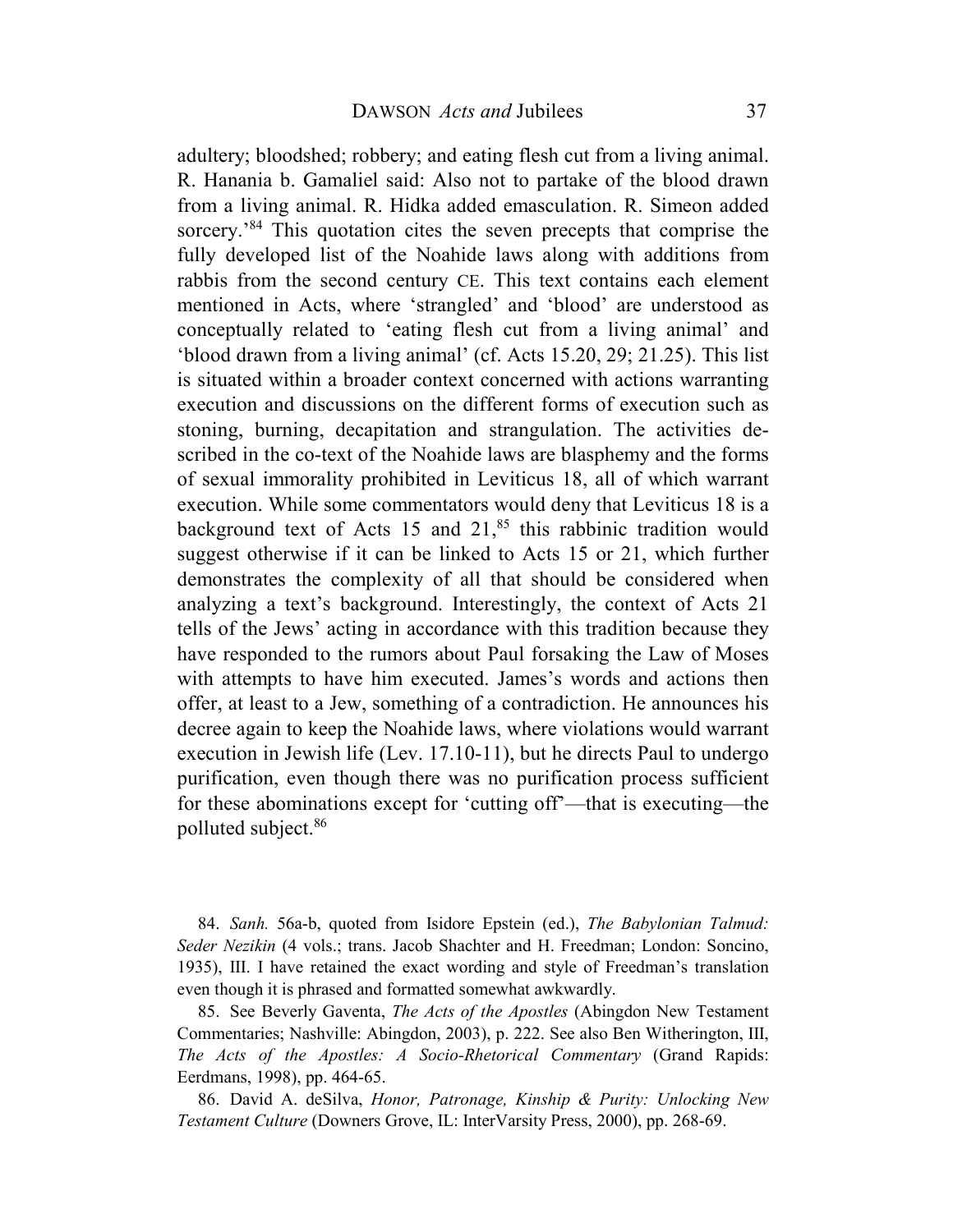adultery; bloodshed; robbery; and eating flesh cut from a living animal. R. Hanania b. Gamaliel said: Also not to partake of the blood drawn from a living animal. R. Hidka added emasculation. R. Simeon added sorcery.<sup>84</sup> This quotation cites the seven precepts that comprise the fully developed list of the Noahide laws along with additions from rabbis from the second century CE. This text contains each element mentioned in Acts, where 'strangled' and 'blood' are understood as conceptually related to 'eating flesh cut from a living animal' and 'blood drawn from a living animal' (cf. Acts 15.20, 29; 21.25). This list is situated within a broader context concerned with actions warranting execution and discussions on the different forms of execution such as stoning, burning, decapitation and strangulation. The activities described in the co-text of the Noahide laws are blasphemy and the forms of sexual immorality prohibited in Leviticus 18, all of which warrant execution. While some commentators would deny that Leviticus 18 is a background text of Acts 15 and  $21$ ,<sup>85</sup> this rabbinic tradition would suggest otherwise if it can be linked to Acts 15 or 21, which further demonstrates the complexity of all that should be considered when analyzing a text's background. Interestingly, the context of Acts 21 tells of the Jews' acting in accordance with this tradition because they have responded to the rumors about Paul forsaking the Law of Moses with attempts to have him executed. James's words and actions then offer, at least to a Jew, something of a contradiction. He announces his decree again to keep the Noahide laws, where violations would warrant execution in Jewish life (Lev. 17.10-11), but he directs Paul to undergo purification, even though there was no purification process sufficient for these abominations except for 'cutting off'—that is executing—the polluted subject.<sup>86</sup>

84. *Sanh.* 56a-b, quoted from Isidore Epstein (ed.), *The Babylonian Talmud: Seder Nezikin* (4 vols.; trans. Jacob Shachter and H. Freedman; London: Soncino, 1935), III. I have retained the exact wording and style of Freedman's translation even though it is phrased and formatted somewhat awkwardly.

85. See Beverly Gaventa, *The Acts of the Apostles* (Abingdon New Testament Commentaries; Nashville: Abingdon, 2003), p. 222. See also Ben Witherington, III, *The Acts of the Apostles: A Socio-Rhetorical Commentary* (Grand Rapids: Eerdmans, 1998), pp. 464-65.

86. David A. deSilva, *Honor, Patronage, Kinship & Purity: Unlocking New Testament Culture* (Downers Grove, IL: InterVarsity Press, 2000), pp. 268-69.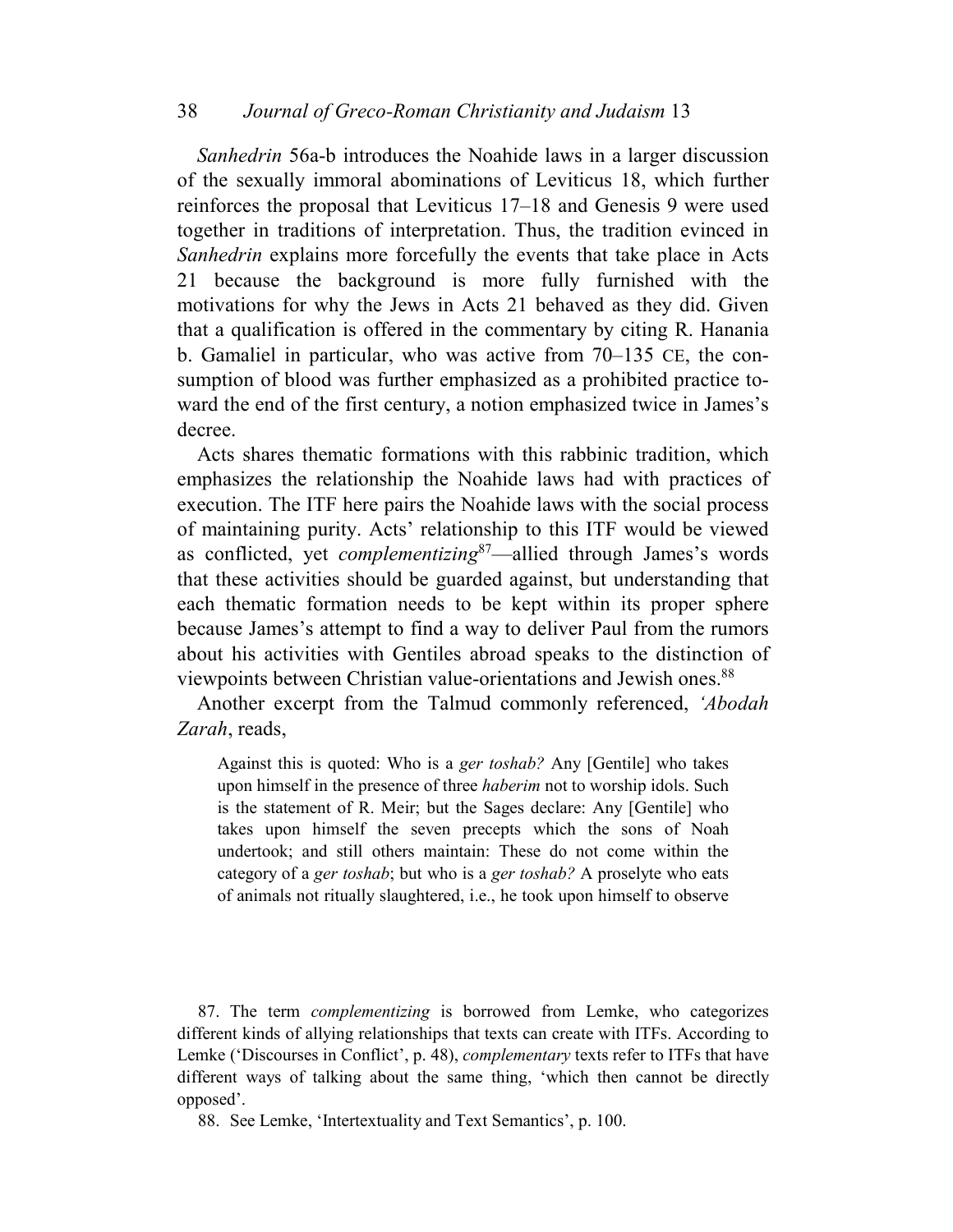*Sanhedrin* 56a-b introduces the Noahide laws in a larger discussion of the sexually immoral abominations of Leviticus 18, which further reinforces the proposal that Leviticus 17–18 and Genesis 9 were used together in traditions of interpretation. Thus, the tradition evinced in *Sanhedrin* explains more forcefully the events that take place in Acts 21 because the background is more fully furnished with the motivations for why the Jews in Acts 21 behaved as they did. Given that a qualification is offered in the commentary by citing R. Hanania b. Gamaliel in particular, who was active from 70–135 CE, the consumption of blood was further emphasized as a prohibited practice toward the end of the first century, a notion emphasized twice in James's decree.

Acts shares thematic formations with this rabbinic tradition, which emphasizes the relationship the Noahide laws had with practices of execution. The ITF here pairs the Noahide laws with the social process of maintaining purity. Acts' relationship to this ITF would be viewed as conflicted, yet *complementizing*<sup>87</sup>—allied through James's words that these activities should be guarded against, but understanding that each thematic formation needs to be kept within its proper sphere because James's attempt to find a way to deliver Paul from the rumors about his activities with Gentiles abroad speaks to the distinction of viewpoints between Christian value-orientations and Jewish ones.<sup>88</sup>

Another excerpt from the Talmud commonly referenced, *'Abodah Zarah*, reads,

Against this is quoted: Who is a *ger toshab?* Any [Gentile] who takes upon himself in the presence of three *haberim* not to worship idols. Such is the statement of R. Meir; but the Sages declare: Any [Gentile] who takes upon himself the seven precepts which the sons of Noah undertook; and still others maintain: These do not come within the category of a *ger toshab*; but who is a *ger toshab?* A proselyte who eats of animals not ritually slaughtered, i.e., he took upon himself to observe

87. The term *complementizing* is borrowed from Lemke, who categorizes different kinds of allying relationships that texts can create with ITFs. According to Lemke ('Discourses in Conflict', p. 48), *complementary* texts refer to ITFs that have different ways of talking about the same thing, 'which then cannot be directly opposed'.

88. See Lemke, 'Intertextuality and Text Semantics', p. 100.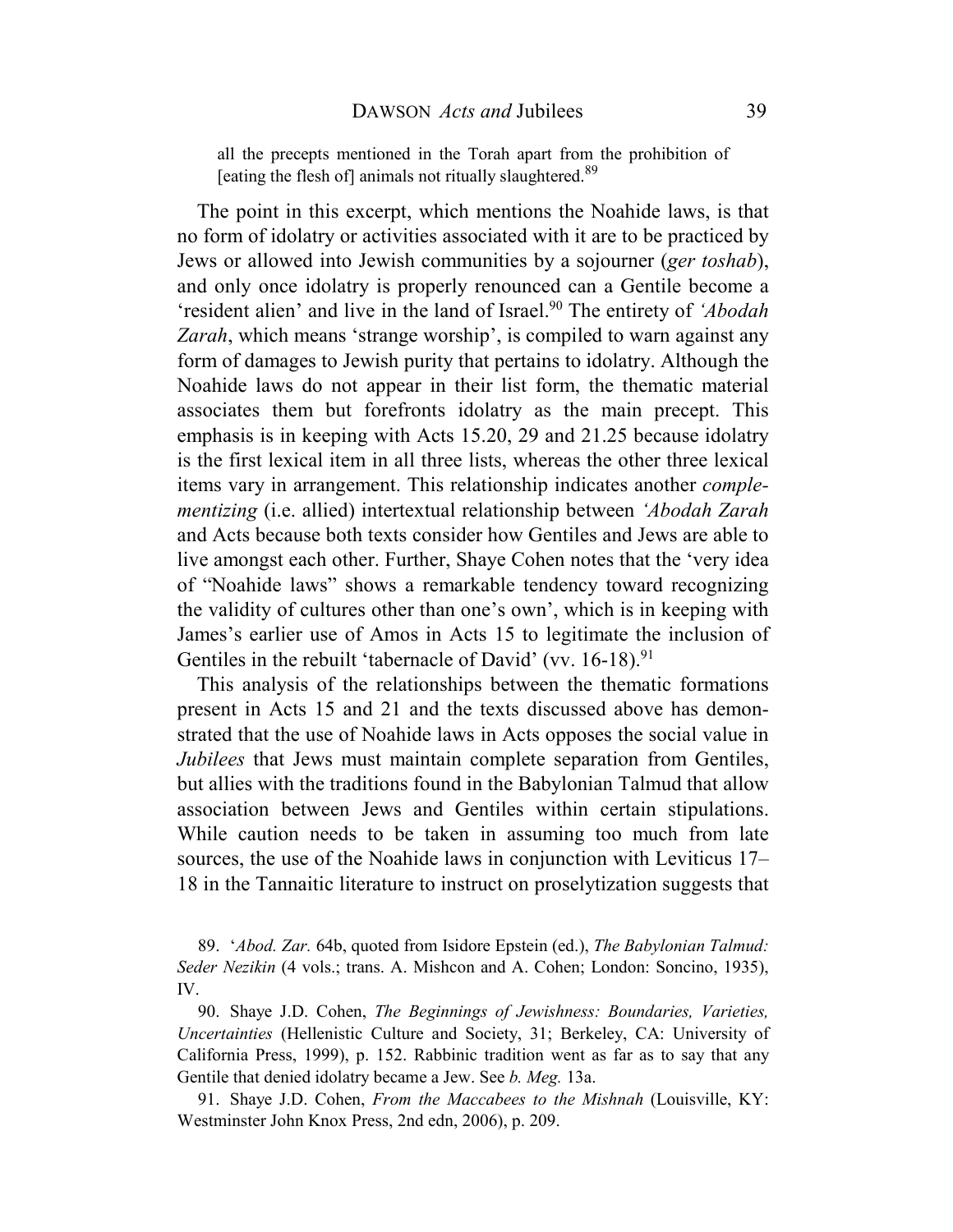all the precepts mentioned in the Torah apart from the prohibition of [eating the flesh of] animals not ritually slaughtered.<sup>89</sup>

The point in this excerpt, which mentions the Noahide laws, is that no form of idolatry or activities associated with it are to be practiced by Jews or allowed into Jewish communities by a sojourner (*ger toshab*), and only once idolatry is properly renounced can a Gentile become a 'resident alien' and live in the land of Israel.<sup>90</sup> The entirety of *'Abodah Zarah*, which means 'strange worship', is compiled to warn against any form of damages to Jewish purity that pertains to idolatry. Although the Noahide laws do not appear in their list form, the thematic material associates them but forefronts idolatry as the main precept. This emphasis is in keeping with Acts 15.20, 29 and 21.25 because idolatry is the first lexical item in all three lists, whereas the other three lexical items vary in arrangement. This relationship indicates another *complementizing* (i.e. allied) intertextual relationship between *'Abodah Zarah*  and Acts because both texts consider how Gentiles and Jews are able to live amongst each other. Further, Shaye Cohen notes that the 'very idea of "Noahide laws" shows a remarkable tendency toward recognizing the validity of cultures other than one's own', which is in keeping with James's earlier use of Amos in Acts 15 to legitimate the inclusion of Gentiles in the rebuilt 'tabernacle of David' (vv.  $16-18$ ).<sup>91</sup>

This analysis of the relationships between the thematic formations present in Acts 15 and 21 and the texts discussed above has demonstrated that the use of Noahide laws in Acts opposes the social value in *Jubilees* that Jews must maintain complete separation from Gentiles, but allies with the traditions found in the Babylonian Talmud that allow association between Jews and Gentiles within certain stipulations. While caution needs to be taken in assuming too much from late sources, the use of the Noahide laws in conjunction with Leviticus 17– 18 in the Tannaitic literature to instruct on proselytization suggests that

<sup>89. &#</sup>x27;*Abod. Zar.* 64b, quoted from Isidore Epstein (ed.), *The Babylonian Talmud: Seder Nezikin* (4 vols.; trans. A. Mishcon and A. Cohen; London: Soncino, 1935), IV.

<sup>90.</sup> Shaye J.D. Cohen, *The Beginnings of Jewishness: Boundaries, Varieties, Uncertainties* (Hellenistic Culture and Society, 31; Berkeley, CA: University of California Press, 1999), p. 152. Rabbinic tradition went as far as to say that any Gentile that denied idolatry became a Jew. See *b. Meg.* 13a.

<sup>91.</sup> Shaye J.D. Cohen, *From the Maccabees to the Mishnah* (Louisville, KY: Westminster John Knox Press, 2nd edn, 2006), p. 209.